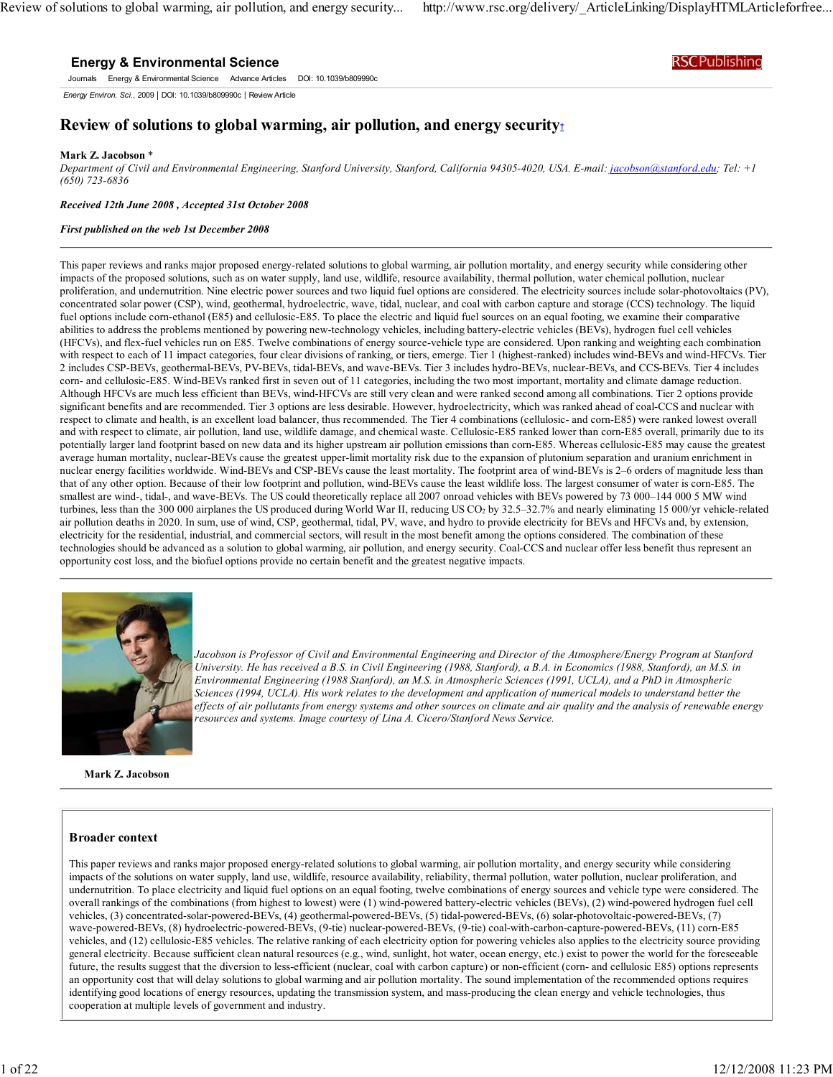**RSCPublishing** 

# **Energy & Environmental Science**

Journals Energy & Environmental Science Advance Articles DOI: 10.1039/b809990c

*Energy Environ. Sci.*, 2009 DOI: 10.1039/b809990c Review Article

# **Review of solutions to global warming, air pollution, and energy security**

# **Mark Z. Jacobson** \*

*Department of Civil and Environmental Engineering, Stanford University, Stanford, California 94305-4020, USA. E-mail: jacobson@stanford.edu; Tel: +1 (650) 723-6836*

# *Received 12th June 2008 , Accepted 31st October 2008*

# *First published on the web 1st December 2008*

This paper reviews and ranks major proposed energy-related solutions to global warming, air pollution mortality, and energy security while considering other impacts of the proposed solutions, such as on water supply, land use, wildlife, resource availability, thermal pollution, water chemical pollution, nuclear proliferation, and undernutrition. Nine electric power sources and two liquid fuel options are considered. The electricity sources include solar-photovoltaics (PV), concentrated solar power (CSP), wind, geothermal, hydroelectric, wave, tidal, nuclear, and coal with carbon capture and storage (CCS) technology. The liquid fuel options include corn-ethanol (E85) and cellulosic-E85. To place the electric and liquid fuel sources on an equal footing, we examine their comparative abilities to address the problems mentioned by powering new-technology vehicles, including battery-electric vehicles (BEVs), hydrogen fuel cell vehicles (HFCVs), and flex-fuel vehicles run on E85. Twelve combinations of energy source-vehicle type are considered. Upon ranking and weighting each combination with respect to each of 11 impact categories, four clear divisions of ranking, or tiers, emerge. Tier 1 (highest-ranked) includes wind-BEVs and wind-HFCVs. Tier 2 includes CSP-BEVs, geothermal-BEVs, PV-BEVs, tidal-BEVs, and wave-BEVs. Tier 3 includes hydro-BEVs, nuclear-BEVs, and CCS-BEVs. Tier 4 includes corn- and cellulosic-E85. Wind-BEVs ranked first in seven out of 11 categories, including the two most important, mortality and climate damage reduction. Although HFCVs are much less efficient than BEVs, wind-HFCVs are still very clean and were ranked second among all combinations. Tier 2 options provide significant benefits and are recommended. Tier 3 options are less desirable. However, hydroelectricity, which was ranked ahead of coal-CCS and nuclear with respect to climate and health, is an excellent load balancer, thus recommended. The Tier 4 combinations (cellulosic- and corn-E85) were ranked lowest overall and with respect to climate, air pollution, land use, wildlife damage, and chemical waste. Cellulosic-E85 ranked lower than corn-E85 overall, primarily due to its potentially larger land footprint based on new data and its higher upstream air pollution emissions than corn-E85. Whereas cellulosic-E85 may cause the greatest average human mortality, nuclear-BEVs cause the greatest upper-limit mortality risk due to the expansion of plutonium separation and uranium enrichment in nuclear energy facilities worldwide. Wind-BEVs and CSP-BEVs cause the least mortality. The footprint area of wind-BEVs is 2–6 orders of magnitude less than that of any other option. Because of their low footprint and pollution, wind-BEVs cause the least wildlife loss. The largest consumer of water is corn-E85. The smallest are wind-, tidal-, and wave-BEVs. The US could theoretically replace all 2007 onroad vehicles with BEVs powered by 73 000–144 000 5 MW wind turbines, less than the 300 000 airplanes the US produced during World War II, reducing US CO<sub>2</sub> by 32.5–32.7% and nearly eliminating 15 000/yr vehicle-related air pollution deaths in 2020. In sum, use of wind, CSP, geothermal, tidal, PV, wave, and hydro to provide electricity for BEVs and HFCVs and, by extension, electricity for the residential, industrial, and commercial sectors, will result in the most benefit among the options considered. The combination of these technologies should be advanced as a solution to global warming, air pollution, and energy security. Coal-CCS and nuclear offer less benefit thus represent an opportunity cost loss, and the biofuel options provide no certain benefit and the greatest negative impacts.



*Jacobson is Professor of Civil and Environmental Engineering and Director of the Atmosphere/Energy Program at Stanford University. He has received a B.S. in Civil Engineering (1988, Stanford), a B.A. in Economics (1988, Stanford), an M.S. in Environmental Engineering (1988 Stanford), an M.S. in Atmospheric Sciences (1991, UCLA), and a PhD in Atmospheric Sciences (1994, UCLA). His work relates to the development and application of numerical models to understand better the effects of air pollutants from energy systems and other sources on climate and air quality and the analysis of renewable energy resources and systems. Image courtesy of Lina A. Cicero/Stanford News Service.*

# **Mark Z. Jacobson**

# **Broader context**

This paper reviews and ranks major proposed energy-related solutions to global warming, air pollution mortality, and energy security while considering impacts of the solutions on water supply, land use, wildlife, resource availability, reliability, thermal pollution, water pollution, nuclear proliferation, and undernutrition. To place electricity and liquid fuel options on an equal footing, twelve combinations of energy sources and vehicle type were considered. The overall rankings of the combinations (from highest to lowest) were (1) wind-powered battery-electric vehicles (BEVs), (2) wind-powered hydrogen fuel cell vehicles, (3) concentrated-solar-powered-BEVs, (4) geothermal-powered-BEVs, (5) tidal-powered-BEVs, (6) solar-photovoltaic-powered-BEVs, (7) wave-powered-BEVs, (8) hydroelectric-powered-BEVs, (9-tie) nuclear-powered-BEVs, (9-tie) coal-with-carbon-capture-powered-BEVs, (11) corn-E85 vehicles, and (12) cellulosic-E85 vehicles. The relative ranking of each electricity option for powering vehicles also applies to the electricity source providing general electricity. Because sufficient clean natural resources (e.g., wind, sunlight, hot water, ocean energy, etc.) exist to power the world for the foreseeable future, the results suggest that the diversion to less-efficient (nuclear, coal with carbon capture) or non-efficient (corn- and cellulosic E85) options represents an opportunity cost that will delay solutions to global warming and air pollution mortality. The sound implementation of the recommended options requires identifying good locations of energy resources, updating the transmission system, and mass-producing the clean energy and vehicle technologies, thus cooperation at multiple levels of government and industry.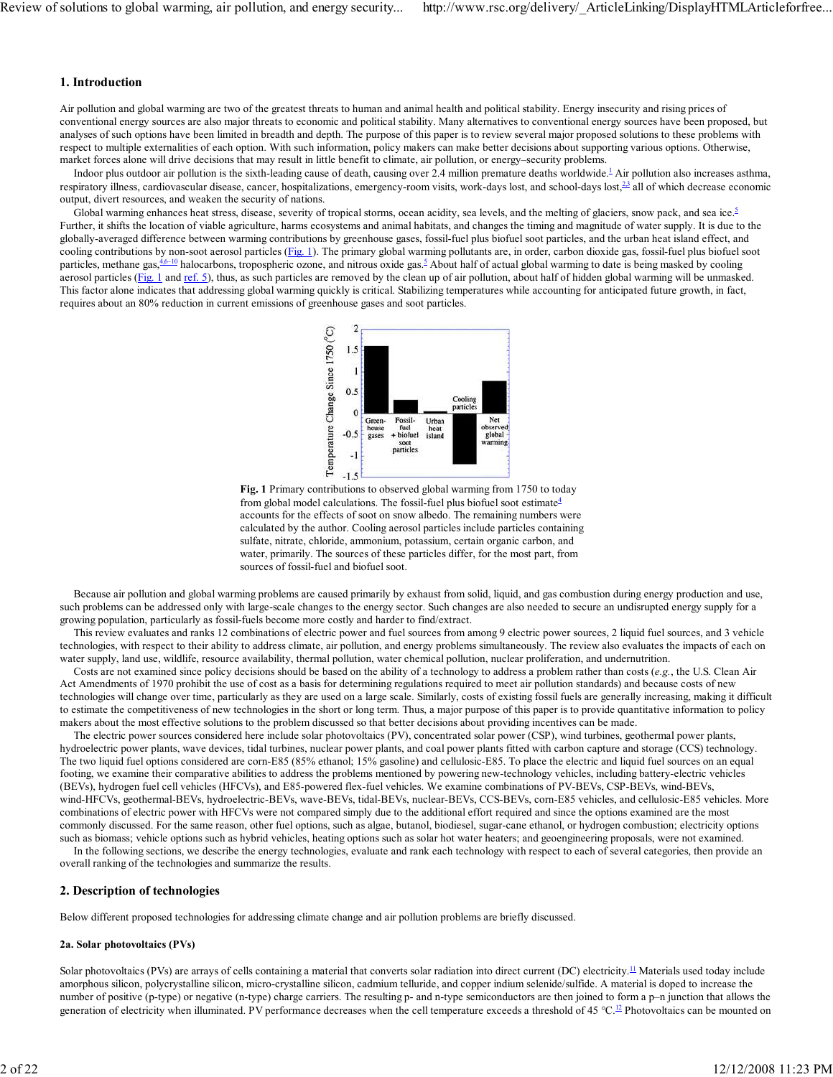# **1. Introduction**

Air pollution and global warming are two of the greatest threats to human and animal health and political stability. Energy insecurity and rising prices of conventional energy sources are also major threats to economic and political stability. Many alternatives to conventional energy sources have been proposed, but analyses of such options have been limited in breadth and depth. The purpose of this paper is to review several major proposed solutions to these problems with respect to multiple externalities of each option. With such information, policy makers can make better decisions about supporting various options. Otherwise, market forces alone will drive decisions that may result in little benefit to climate, air pollution, or energy–security problems.

Indoor plus outdoor air pollution is the sixth-leading cause of death, causing over 2.4 million premature deaths worldwide.<sup>1</sup> Air pollution also increases asthma, respiratory illness, cardiovascular disease, cancer, hospitalizations, emergency-room visits, work-days lost, and school-days lost,<sup>2,3</sup> all of which decrease economic output, divert resources, and weaken the security of nations.

Global warming enhances heat stress, disease, severity of tropical storms, ocean acidity, sea levels, and the melting of glaciers, snow pack, and sea ice.<sup>5</sup> Further, it shifts the location of viable agriculture, harms ecosystems and animal habitats, and changes the timing and magnitude of water supply. It is due to the globally-averaged difference between warming contributions by greenhouse gases, fossil-fuel plus biofuel soot particles, and the urban heat island effect, and cooling contributions by non-soot aerosol particles (Fig. 1). The primary global warming pollutants are, in order, carbon dioxide gas, fossil-fuel plus biofuel soot particles, methane gas,<sup>4,6–10</sup> halocarbons, tropospheric ozone, and nitrous oxide gas.<sup>5</sup> About half of actual global warming to date is being masked by cooling aerosol particles (Fig. 1 and ref. 5), thus, as such particles are removed by the clean up of air pollution, about half of hidden global warming will be unmasked. This factor alone indicates that addressing global warming quickly is critical. Stabilizing temperatures while accounting for anticipated future growth, in fact, requires about an 80% reduction in current emissions of greenhouse gases and soot particles.



**Fig. 1** Primary contributions to observed global warming from 1750 to today from global model calculations. The fossil-fuel plus biofuel soot estimate<sup>4</sup> accounts for the effects of soot on snow albedo. The remaining numbers were calculated by the author. Cooling aerosol particles include particles containing sulfate, nitrate, chloride, ammonium, potassium, certain organic carbon, and water, primarily. The sources of these particles differ, for the most part, from sources of fossil-fuel and biofuel soot.

Because air pollution and global warming problems are caused primarily by exhaust from solid, liquid, and gas combustion during energy production and use, such problems can be addressed only with large-scale changes to the energy sector. Such changes are also needed to secure an undisrupted energy supply for a growing population, particularly as fossil-fuels become more costly and harder to find/extract.

This review evaluates and ranks 12 combinations of electric power and fuel sources from among 9 electric power sources, 2 liquid fuel sources, and 3 vehicle technologies, with respect to their ability to address climate, air pollution, and energy problems simultaneously. The review also evaluates the impacts of each on water supply, land use, wildlife, resource availability, thermal pollution, water chemical pollution, nuclear proliferation, and undernutrition.

Costs are not examined since policy decisions should be based on the ability of a technology to address a problem rather than costs (*e.g.*, the U.S. Clean Air Act Amendments of 1970 prohibit the use of cost as a basis for determining regulations required to meet air pollution standards) and because costs of new technologies will change over time, particularly as they are used on a large scale. Similarly, costs of existing fossil fuels are generally increasing, making it difficult to estimate the competitiveness of new technologies in the short or long term. Thus, a major purpose of this paper is to provide quantitative information to policy makers about the most effective solutions to the problem discussed so that better decisions about providing incentives can be made.

The electric power sources considered here include solar photovoltaics (PV), concentrated solar power (CSP), wind turbines, geothermal power plants, hydroelectric power plants, wave devices, tidal turbines, nuclear power plants, and coal power plants fitted with carbon capture and storage (CCS) technology. The two liquid fuel options considered are corn-E85 (85% ethanol; 15% gasoline) and cellulosic-E85. To place the electric and liquid fuel sources on an equal footing, we examine their comparative abilities to address the problems mentioned by powering new-technology vehicles, including battery-electric vehicles (BEVs), hydrogen fuel cell vehicles (HFCVs), and E85-powered flex-fuel vehicles. We examine combinations of PV-BEVs, CSP-BEVs, wind-BEVs, wind-HFCVs, geothermal-BEVs, hydroelectric-BEVs, wave-BEVs, tidal-BEVs, nuclear-BEVs, CCS-BEVs, corn-E85 vehicles, and cellulosic-E85 vehicles. More combinations of electric power with HFCVs were not compared simply due to the additional effort required and since the options examined are the most commonly discussed. For the same reason, other fuel options, such as algae, butanol, biodiesel, sugar-cane ethanol, or hydrogen combustion; electricity options such as biomass; vehicle options such as hybrid vehicles, heating options such as solar hot water heaters; and geoengineering proposals, were not examined.

In the following sections, we describe the energy technologies, evaluate and rank each technology with respect to each of several categories, then provide an overall ranking of the technologies and summarize the results.

# **2. Description of technologies**

Below different proposed technologies for addressing climate change and air pollution problems are briefly discussed.

#### **2a. Solar photovoltaics (PVs)**

Solar photovoltaics (PVs) are arrays of cells containing a material that converts solar radiation into direct current (DC) electricity.<sup>11</sup> Materials used today include amorphous silicon, polycrystalline silicon, micro-crystalline silicon, cadmium telluride, and copper indium selenide/sulfide. A material is doped to increase the number of positive (p-type) or negative (n-type) charge carriers. The resulting p- and n-type semiconductors are then joined to form a p-n junction that allows the generation of electricity when illuminated. PV performance decreases when the cell temperature exceeds a threshold of 45 °C.<sup>12</sup> Photovoltaics can be mounted on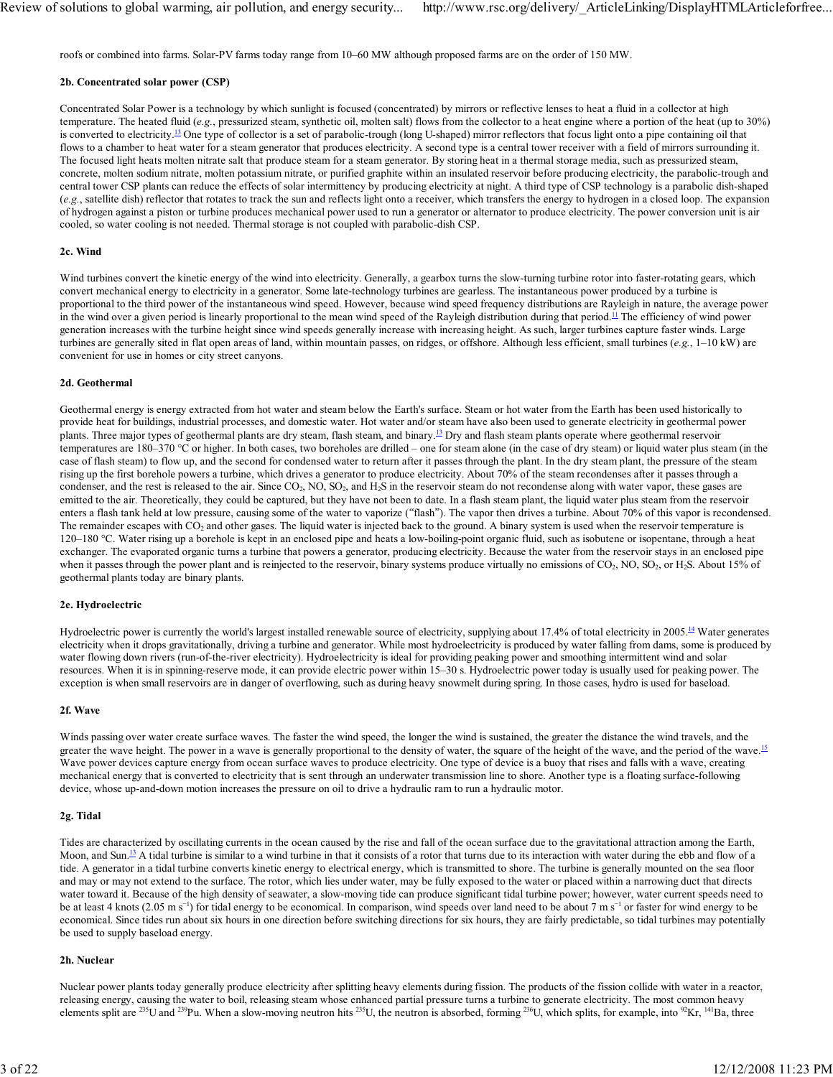Review of solutions to global warming, air pollution, and energy security... http://www.rsc.org/delivery/\_ArticleLinking/DisplayHTMLArticleforfree...

roofs or combined into farms. Solar-PV farms today range from 10–60 MW although proposed farms are on the order of 150 MW.

# **2b. Concentrated solar power (CSP)**

Concentrated Solar Power is a technology by which sunlight is focused (concentrated) by mirrors or reflective lenses to heat a fluid in a collector at high temperature. The heated fluid (*e.g.*, pressurized steam, synthetic oil, molten salt) flows from the collector to a heat engine where a portion of the heat (up to 30%) is converted to electricity.<sup>13</sup> One type of collector is a set of parabolic-trough (long U-shaped) mirror reflectors that focus light onto a pipe containing oil that flows to a chamber to heat water for a steam generator that produces electricity. A second type is a central tower receiver with a field of mirrors surrounding it. The focused light heats molten nitrate salt that produce steam for a steam generator. By storing heat in a thermal storage media, such as pressurized steam, concrete, molten sodium nitrate, molten potassium nitrate, or purified graphite within an insulated reservoir before producing electricity, the parabolic-trough and central tower CSP plants can reduce the effects of solar intermittency by producing electricity at night. A third type of CSP technology is a parabolic dish-shaped (*e.g.*, satellite dish) reflector that rotates to track the sun and reflects light onto a receiver, which transfers the energy to hydrogen in a closed loop. The expansion of hydrogen against a piston or turbine produces mechanical power used to run a generator or alternator to produce electricity. The power conversion unit is air cooled, so water cooling is not needed. Thermal storage is not coupled with parabolic-dish CSP.

# **2c. Wind**

Wind turbines convert the kinetic energy of the wind into electricity. Generally, a gearbox turns the slow-turning turbine rotor into faster-rotating gears, which convert mechanical energy to electricity in a generator. Some late-technology turbines are gearless. The instantaneous power produced by a turbine is proportional to the third power of the instantaneous wind speed. However, because wind speed frequency distributions are Rayleigh in nature, the average power in the wind over a given period is linearly proportional to the mean wind speed of the Rayleigh distribution during that period.<sup>11</sup> The efficiency of wind power generation increases with the turbine height since wind speeds generally increase with increasing height. As such, larger turbines capture faster winds. Large turbines are generally sited in flat open areas of land, within mountain passes, on ridges, or offshore. Although less efficient, small turbines (*e.g.*, 1–10 kW) are convenient for use in homes or city street canyons.

# **2d. Geothermal**

Geothermal energy is energy extracted from hot water and steam below the Earth's surface. Steam or hot water from the Earth has been used historically to provide heat for buildings, industrial processes, and domestic water. Hot water and/or steam have also been used to generate electricity in geothermal power plants. Three major types of geothermal plants are dry steam, flash steam, and binary.<sup>13</sup> Dry and flash steam plants operate where geothermal reservoir temperatures are 180–370 °C or higher. In both cases, two boreholes are drilled – one for steam alone (in the case of dry steam) or liquid water plus steam (in the case of flash steam) to flow up, and the second for condensed water to return after it passes through the plant. In the dry steam plant, the pressure of the steam rising up the first borehole powers a turbine, which drives a generator to produce electricity. About 70% of the steam recondenses after it passes through a condenser, and the rest is released to the air. Since CO<sub>2</sub>, NO, SO<sub>2</sub>, and H<sub>2</sub>S in the reservoir steam do not recondense along with water vapor, these gases are emitted to the air. Theoretically, they could be captured, but they have not been to date. In a flash steam plant, the liquid water plus steam from the reservoir enters a flash tank held at low pressure, causing some of the water to vaporize ("flash"). The vapor then drives a turbine. About 70% of this vapor is recondensed. The remainder escapes with CO<sub>2</sub> and other gases. The liquid water is injected back to the ground. A binary system is used when the reservoir temperature is 120–180 °C. Water rising up a borehole is kept in an enclosed pipe and heats a low-boiling-point organic fluid, such as isobutene or isopentane, through a heat exchanger. The evaporated organic turns a turbine that powers a generator, producing electricity. Because the water from the reservoir stays in an enclosed pipe when it passes through the power plant and is reinjected to the reservoir, binary systems produce virtually no emissions of  $CO<sub>2</sub>$ , NO,  $SO<sub>2</sub>$ , or H<sub>2</sub>S. About 15% of geothermal plants today are binary plants.

# **2e. Hydroelectric**

Hydroelectric power is currently the world's largest installed renewable source of electricity, supplying about 17.4% of total electricity in 2005.<sup>14</sup> Water generates electricity when it drops gravitationally, driving a turbine and generator. While most hydroelectricity is produced by water falling from dams, some is produced by water flowing down rivers (run-of-the-river electricity). Hydroelectricity is ideal for providing peaking power and smoothing intermittent wind and solar resources. When it is in spinning-reserve mode, it can provide electric power within 15–30 s. Hydroelectric power today is usually used for peaking power. The exception is when small reservoirs are in danger of overflowing, such as during heavy snowmelt during spring. In those cases, hydro is used for baseload.

# **2f. Wave**

Winds passing over water create surface waves. The faster the wind speed, the longer the wind is sustained, the greater the distance the wind travels, and the greater the wave height. The power in a wave is generally proportional to the density of water, the square of the height of the wave, and the period of the wave.<sup>15</sup> Wave power devices capture energy from ocean surface waves to produce electricity. One type of device is a buoy that rises and falls with a wave, creating mechanical energy that is converted to electricity that is sent through an underwater transmission line to shore. Another type is a floating surface-following device, whose up-and-down motion increases the pressure on oil to drive a hydraulic ram to run a hydraulic motor.

# **2g. Tidal**

Tides are characterized by oscillating currents in the ocean caused by the rise and fall of the ocean surface due to the gravitational attraction among the Earth, Moon, and Sun.<sup>13</sup> A tidal turbine is similar to a wind turbine in that it consists of a rotor that turns due to its interaction with water during the ebb and flow of a tide. A generator in a tidal turbine converts kinetic energy to electrical energy, which is transmitted to shore. The turbine is generally mounted on the sea floor and may or may not extend to the surface. The rotor, which lies under water, may be fully exposed to the water or placed within a narrowing duct that directs water toward it. Because of the high density of seawater, a slow-moving tide can produce significant tidal turbine power; however, water current speeds need to be at least 4 knots (2.05 m s<sup>−1</sup>) for tidal energy to be economical. In comparison, wind speeds over land need to be about 7 m s<sup>−1</sup> or faster for wind energy to be economical. Since tides run about six hours in one direction before switching directions for six hours, they are fairly predictable, so tidal turbines may potentially be used to supply baseload energy.

# **2h. Nuclear**

Nuclear power plants today generally produce electricity after splitting heavy elements during fission. The products of the fission collide with water in a reactor, releasing energy, causing the water to boil, releasing steam whose enhanced partial pressure turns a turbine to generate electricity. The most common heavy elements split are <sup>235</sup>U and <sup>239</sup>Pu. When a slow-moving neutron hits <sup>235</sup>U, the neutron is absorbed, forming <sup>236</sup>U, which splits, for example, into <sup>92</sup>Kr, <sup>141</sup>Ba, three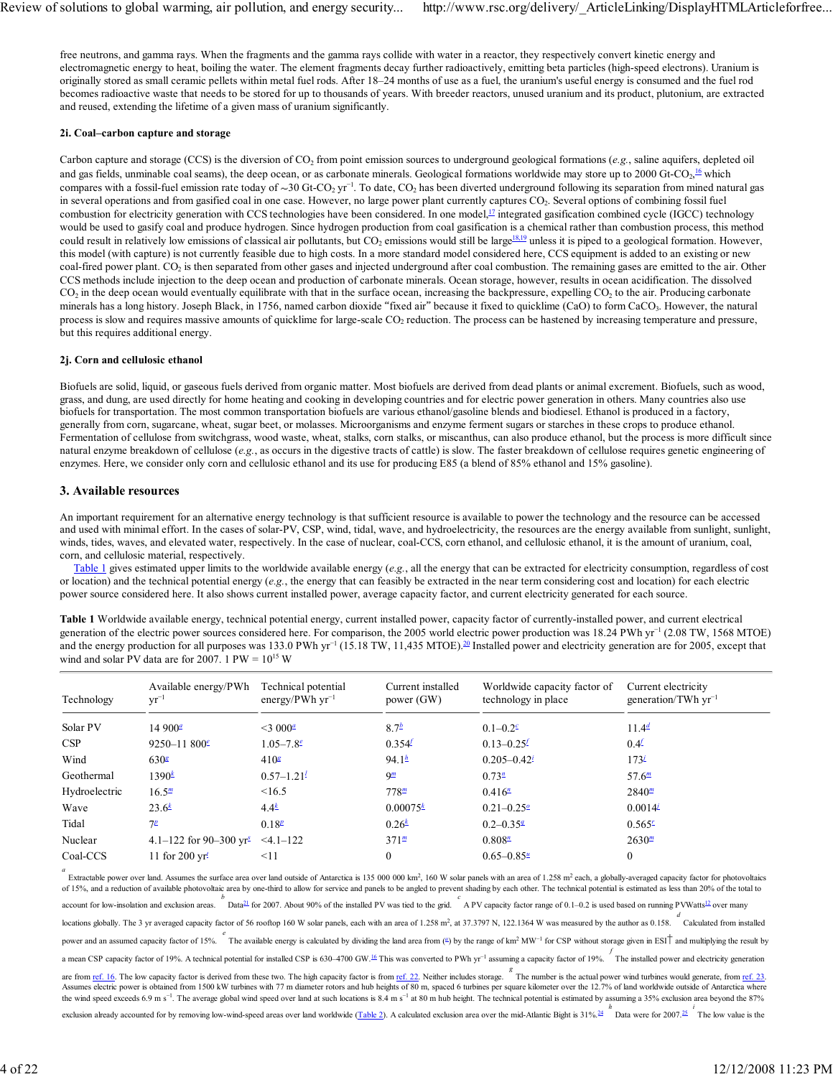free neutrons, and gamma rays. When the fragments and the gamma rays collide with water in a reactor, they respectively convert kinetic energy and electromagnetic energy to heat, boiling the water. The element fragments decay further radioactively, emitting beta particles (high-speed electrons). Uranium is originally stored as small ceramic pellets within metal fuel rods. After 18–24 months of use as a fuel, the uranium's useful energy is consumed and the fuel rod becomes radioactive waste that needs to be stored for up to thousands of years. With breeder reactors, unused uranium and its product, plutonium, are extracted and reused, extending the lifetime of a given mass of uranium significantly.

# **2i. Coal–carbon capture and storage**

Carbon capture and storage (CCS) is the diversion of CO2 from point emission sources to underground geological formations (*e.g.*, saline aquifers, depleted oil and gas fields, unminable coal seams), the deep ocean, or as carbonate minerals. Geological formations worldwide may store up to 2000 Gt-CO<sub>2</sub><sup>16</sup> which compares with a fossil-fuel emission rate today of ~30 Gt-CO<sub>2</sub> yr<sup>−1</sup>. To date, CO<sub>2</sub> has been diverted underground following its separation from mined natural gas in several operations and from gasified coal in one case. However, no large power plant currently captures CO<sub>2</sub>. Several options of combining fossil fuel combustion for electricity generation with CCS technologies have been considered. In one model, $\frac{17}{2}$  integrated gasification combined cycle (IGCC) technology would be used to gasify coal and produce hydrogen. Since hydrogen production from coal gasification is a chemical rather than combustion process, this method could result in relatively low emissions of classical air pollutants, but  $CO_2$  emissions would still be large<sup>18,19</sup> unless it is piped to a geological formation. However, this model (with capture) is not currently feasible due to high costs. In a more standard model considered here, CCS equipment is added to an existing or new coal-fired power plant. CO<sub>2</sub> is then separated from other gases and injected underground after coal combustion. The remaining gases are emitted to the air. Other CCS methods include injection to the deep ocean and production of carbonate minerals. Ocean storage, however, results in ocean acidification. The dissolved  $CO<sub>2</sub>$  in the deep ocean would eventually equilibrate with that in the surface ocean, increasing the backpressure, expelling  $CO<sub>2</sub>$  to the air. Producing carbonate minerals has a long history. Joseph Black, in 1756, named carbon dioxide "fixed air" because it fixed to quicklime (CaO) to form CaCO3. However, the natural process is slow and requires massive amounts of quicklime for large-scale CO<sub>2</sub> reduction. The process can be hastened by increasing temperature and pressure, but this requires additional energy.

# **2j. Corn and cellulosic ethanol**

Biofuels are solid, liquid, or gaseous fuels derived from organic matter. Most biofuels are derived from dead plants or animal excrement. Biofuels, such as wood, grass, and dung, are used directly for home heating and cooking in developing countries and for electric power generation in others. Many countries also use biofuels for transportation. The most common transportation biofuels are various ethanol/gasoline blends and biodiesel. Ethanol is produced in a factory, generally from corn, sugarcane, wheat, sugar beet, or molasses. Microorganisms and enzyme ferment sugars or starches in these crops to produce ethanol. Fermentation of cellulose from switchgrass, wood waste, wheat, stalks, corn stalks, or miscanthus, can also produce ethanol, but the process is more difficult since natural enzyme breakdown of cellulose (e.g., as occurs in the digestive tracts of cattle) is slow. The faster breakdown of cellulose requires genetic engineering of enzymes. Here, we consider only corn and cellulosic ethanol and its use for producing E85 (a blend of 85% ethanol and 15% gasoline).

# **3. Available resources**

An important requirement for an alternative energy technology is that sufficient resource is available to power the technology and the resource can be accessed and used with minimal effort. In the cases of solar-PV, CSP, wind, tidal, wave, and hydroelectricity, the resources are the energy available from sunlight, sunlight, winds, tides, waves, and elevated water, respectively. In the case of nuclear, coal-CCS, corn ethanol, and cellulosic ethanol, it is the amount of uranium, coal, corn, and cellulosic material, respectively.

Table 1 gives estimated upper limits to the worldwide available energy (*e.g.*, all the energy that can be extracted for electricity consumption, regardless of cost or location) and the technical potential energy (*e.g.*, the energy that can feasibly be extracted in the near term considering cost and location) for each electric power source considered here. It also shows current installed power, average capacity factor, and current electricity generated for each source.

**Table 1** Worldwide available energy, technical potential energy, current installed power, capacity factor of currently-installed power, and current electrical generation of the electric power sources considered here. For comparison, the 2005 world electric power production was 18.24 PWh yr<sup>-1</sup> (2.08 TW, 1568 MTOE) and the energy production for all purposes was 133.0 PWh yr<sup>−1</sup> (15.18 TW, 11,435 MTOE).<sup>20</sup> Installed power and electricity generation are for 2005, except that wind and solar PV data are for 2007. 1 PW =  $10^{15}$  W

| Technology    | Available energy/PWh<br>$\rm{yr}^{-1}$      | Technical potential<br>energy/PWh $yr^{-1}$ | Current installed<br>power (GW) | Worldwide capacity factor of<br>technology in place | Current electricity<br>generation/TWh $yr^{-1}$ |  |
|---------------|---------------------------------------------|---------------------------------------------|---------------------------------|-----------------------------------------------------|-------------------------------------------------|--|
| Solar PV      | 14 900ª                                     | $<$ 3 000 <sup><math>\mu</math></sup>       | 8.7 <sup>b</sup>                | $0.1 - 0.29$                                        | $11.4^{\underline{d}}$                          |  |
| CSP           | 9250-11800 <sup><math>\epsilon</math></sup> | $1.05 - 7.8$ <sup>e</sup>                   | 0.354                           | $0.13 - 0.25$                                       | 0.4 <sup>f</sup>                                |  |
| Wind          | 630 <sup>g</sup>                            | 410 <sup>g</sup>                            | $94.1^{\underline{h}}$          | $0.205 - 0.42^{\underline{i}}$                      | $173^{\underline{i}}$                           |  |
| Geothermal    | 1390 <sup>k</sup>                           | $0.57 - 1.21$                               | $Q^m$                           | $0.73^{n}$                                          | $57.6^m$                                        |  |
| Hydroelectric | $16.5^m$                                    | <16.5                                       | $778$ <sup>m</sup>              | 0.416 <sup>n</sup>                                  | $2840^{\frac{m}{2}}$                            |  |
| Wave          | $23.6^k$                                    | $4.4^{k}$                                   | $0.00075^{\underline{k}}$       | $0.21 - 0.25^{\circ}$                               | $0.0014^{\underline{i}}$                        |  |
| Tidal         | 7P                                          | $0.18$ <sup>p</sup>                         | $0.26^k$                        | $0.2 - 0.35$                                        | 0.565                                           |  |
| Nuclear       | $4.1 - 122$ for 90-300 yr <sup>s</sup>      | $< 4.1 - 122$                               | 371 <sup>m</sup>                | $0.808$ <sup>n</sup>                                | $2630^{\frac{m}{2}}$                            |  |
| Coal-CCS      | 11 for 200 $vr^2$                           | $\leq$ 11                                   | $\mathbf{0}$                    | $0.65 - 0.85$ <sup>u</sup>                          | $\boldsymbol{0}$                                |  |

a<br>Extractable power over land. Assumes the surface area over land outside of Antarctica is 135 000 000 km<sup>2</sup>, 160 W solar panels with an area of 1.258 m<sup>2</sup> each, a globally-averaged capacity factor for photovoltaics of 15%, and a reduction of available photovoltaic area by one-third to allow for service and panels to be angled to prevent shading by each other. The technical potential is estimated as less than 20% of the total to <sup>*c</sup>*</sup> account for low-insolation and exclusion areas. Data<sup>21</sup> for 2007. About 90% of the installed PV was tied to the grid. A PV capacity factor range of 0.1–0.2 is used based on running PVWatts<sup>12</sup> over many locations globally. The 3 yr averaged capacity factor of 56 rooftop 160 W solar panels, each with an area of 1.258 m<sup>2</sup>, at 37.3797 N, 122.1364 W was measured by the author as 0.158. Calculated from installed power and an assumed capacity factor of 15%. The available energy is calculated by dividing the land area from ( $4$ ) by the range of km<sup>2</sup> MW<sup>-1</sup> for CSP without storage given in ESI<sup>†</sup> and multiplying the result by a mean CSP capacity factor of 19%. A technical potential for installed CSP is 630–4700 GW.<sup>16</sup> This was converted to PWh yr<sup>-1</sup> assuming a capacity factor of 19%. The installed power and electricity generation are from <u>ref. 16</u>. The low capacity factor is derived from these two. The high capacity factor is from <u>ref. 22</u>. Neither includes storage. The number is the actual power wind turbines would generate, from ref. 23. Assumes electric power is obtained from 1500 kW turbines with 77 m diameter rotors and hub heights of 80 m, spaced 6 turbines per square kilometer over the 12.7% of land worldwide outside of Antarctica where the wind speed exceeds 6.9 m s<sup>-1</sup>. The average global wind speed over land at such locations is 8.4 m s<sup>-1</sup> at 80 m hub height. The technical potential is estimated by assuming a 35% exclusion area beyond the 87%

exclusion already accounted for by removing low-wind-speed areas over land worldwide (Table 2). A calculated exclusion area over the mid-Atlantic Bight is 31%.<sup>24</sup> hata were for 2007.<sup>25</sup> <sup>i</sup> The low value is the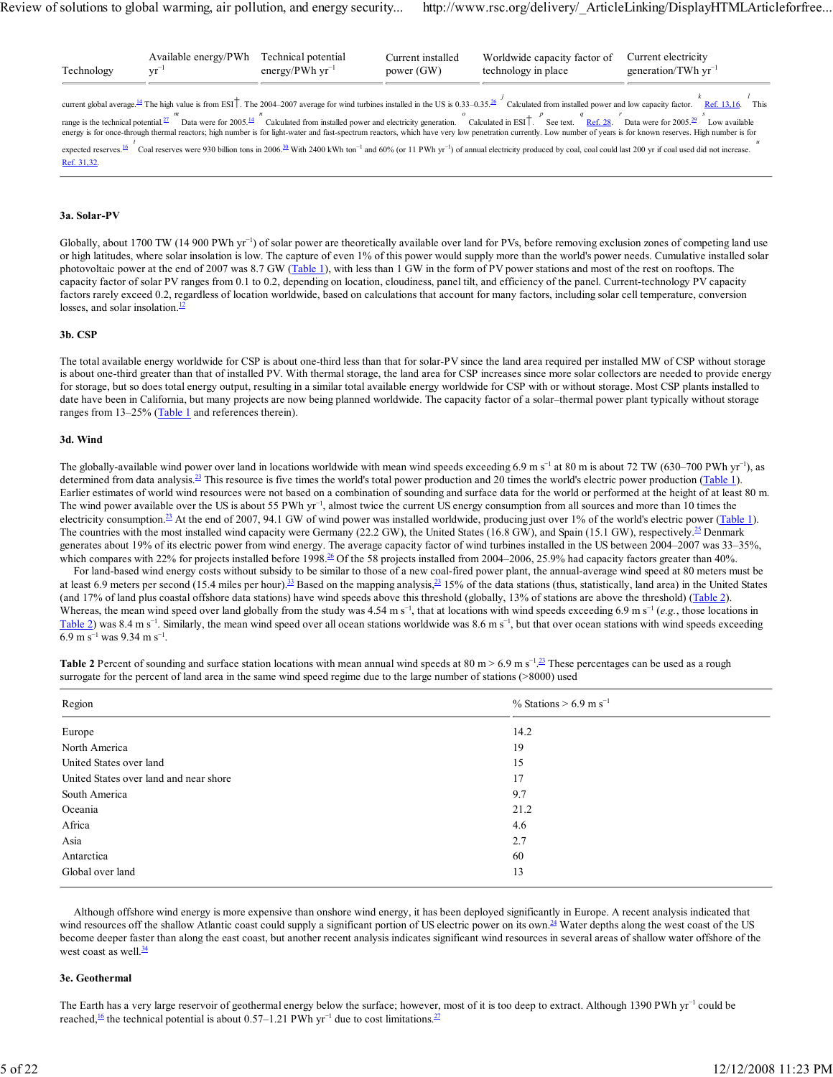| Technology                                        | Available energy/PWh | Technical potential  | Current installed | Worldwide capacity factor of                                                                                                                                                                                                                                                                                                                                                                                                                                                                                                                                                                                                                                                                              | Current electricity                                                                                                                                                                                                                                                   |  |
|---------------------------------------------------|----------------------|----------------------|-------------------|-----------------------------------------------------------------------------------------------------------------------------------------------------------------------------------------------------------------------------------------------------------------------------------------------------------------------------------------------------------------------------------------------------------------------------------------------------------------------------------------------------------------------------------------------------------------------------------------------------------------------------------------------------------------------------------------------------------|-----------------------------------------------------------------------------------------------------------------------------------------------------------------------------------------------------------------------------------------------------------------------|--|
|                                                   | $vr^-$               | energy/PWh $yr^{-1}$ | power (GW)        | technology in place                                                                                                                                                                                                                                                                                                                                                                                                                                                                                                                                                                                                                                                                                       | generation/TWh $yr^{-1}$                                                                                                                                                                                                                                              |  |
| expected reserves. $\frac{16}{16}$<br>Ref. 31,32. |                      |                      |                   | range is the technical potential. <sup>21</sup> Data were for 2005. <sup>14</sup> Calculated from installed power and electricity generation. Calculated in ESI <sup>+</sup> , P See text. Ref. 28. Data were for 2005. <sup>29</sup> Low available<br>energy is for once-through thermal reactors; high number is for light-water and fast-spectrum reactors, which have very low penetration currently. Low number of years is for known reserves. High number is for<br>Coal reserves were 930 billion tons in 2006. <sup>30</sup> With 2400 kWh ton <sup>-1</sup> and 60% (or 11 PWh yr <sup>-1</sup> ) of annual electricity produced by coal, coal could last 200 yr if coal used did not increase. | current global average. <sup>14</sup> The high value is from ES1 <sup>+</sup> . The 2004-2007 average for wind turbines installed in the US is 0.33-0.35. <sup>26</sup> <sup>/</sup> Calculated from installed power and low capacity factor. $^{8}$ Ref. 13,16. This |  |

#### **3a. Solar-PV**

Globally, about 1700 TW (14 900 PWh yr<sup>-1</sup>) of solar power are theoretically available over land for PVs, before removing exclusion zones of competing land use or high latitudes, where solar insolation is low. The capture of even 1% of this power would supply more than the world's power needs. Cumulative installed solar photovoltaic power at the end of 2007 was 8.7 GW (Table 1), with less than 1 GW in the form of PV power stations and most of the rest on rooftops. The capacity factor of solar PV ranges from 0.1 to 0.2, depending on location, cloudiness, panel tilt, and efficiency of the panel. Current-technology PV capacity factors rarely exceed 0.2, regardless of location worldwide, based on calculations that account for many factors, including solar cell temperature, conversion losses, and solar insolation. $\frac{12}{2}$ 

# **3b. CSP**

The total available energy worldwide for CSP is about one-third less than that for solar-PV since the land area required per installed MW of CSP without storage is about one-third greater than that of installed PV. With thermal storage, the land area for CSP increases since more solar collectors are needed to provide energy for storage, but so does total energy output, resulting in a similar total available energy worldwide for CSP with or without storage. Most CSP plants installed to date have been in California, but many projects are now being planned worldwide. The capacity factor of a solar–thermal power plant typically without storage ranges from 13-25% (Table 1 and references therein).

# **3d. Wind**

The globally-available wind power over land in locations worldwide with mean wind speeds exceeding 6.9 m s<sup>−1</sup> at 80 m is about 72 TW (630–700 PWh yr<sup>−1</sup>), as determined from data analysis.<sup>23</sup> This resource is five times the world's total power production and 20 times the world's electric power production (Table 1). Earlier estimates of world wind resources were not based on a combination of sounding and surface data for the world or performed at the height of at least 80 m. The wind power available over the US is about 55 PWh yr<sup>-1</sup>, almost twice the current US energy consumption from all sources and more than 10 times the electricity consumption.<sup>23</sup> At the end of 2007, 94.1 GW of wind power was installed worldwide, producing just over 1% of the world's electric power (Table 1). The countries with the most installed wind capacity were Germany (22.2 GW), the United States (16.8 GW), and Spain (15.1 GW), respectively.<sup>25</sup> Denmark generates about 19% of its electric power from wind energy. The average capacity factor of wind turbines installed in the US between 2004–2007 was 33–35%, which compares with 22% for projects installed before 1998.<sup>26</sup> Of the 58 projects installed from 2004–2006, 25.9% had capacity factors greater than 40%.

For land-based wind energy costs without subsidy to be similar to those of a new coal-fired power plant, the annual-average wind speed at 80 meters must be at least 6.9 meters per second (15.4 miles per hour).<sup>33</sup> Based on the mapping analysis,<sup>23</sup> 15% of the data stations (thus, statistically, land area) in the United States (and 17% of land plus coastal offshore data stations) have wind speeds above this threshold (globally, 13% of stations are above the threshold) (Table 2). Whereas, the mean wind speed over land globally from the study was 4.54 m s<sup>-1</sup>, that at locations with wind speeds exceeding 6.9 m s<sup>-1</sup> (*e.g.*, those locations in Table 2) was 8.4 m s<sup>-1</sup>. Similarly, the mean wind speed over all ocean stations worldwide was 8.6 m s<sup>-1</sup>, but that over ocean stations with wind speeds exceeding 6.9 m s−1 was 9.34 m s−1 .

| Region                                 | % Stations > 6.9 m s <sup>-1</sup> |  |
|----------------------------------------|------------------------------------|--|
| Europe                                 | 14.2                               |  |
| North America                          | 19                                 |  |
| United States over land                | 15                                 |  |
| United States over land and near shore | 17                                 |  |
| South America                          | 9.7                                |  |
| Oceania                                | 21.2                               |  |
| Africa                                 | 4.6                                |  |
| Asia                                   | 2.7                                |  |
| Antarctica                             | 60                                 |  |
| Global over land                       | 13                                 |  |

Table 2 Percent of sounding and surface station locations with mean annual wind speeds at 80 m > 6.9 m s<sup>−1</sup>.<sup>23</sup> These percentages can be used as a rough surrogate for the percent of land area in the same wind speed regime due to the large number of stations (>8000) used

Although offshore wind energy is more expensive than onshore wind energy, it has been deployed significantly in Europe. A recent analysis indicated that wind resources off the shallow Atlantic coast could supply a significant portion of US electric power on its own.<sup>24</sup> Water depths along the west coast of the US become deeper faster than along the east coast, but another recent analysis indicates significant wind resources in several areas of shallow water offshore of the west coast as well.<sup>34</sup>

# **3e. Geothermal**

The Earth has a very large reservoir of geothermal energy below the surface; however, most of it is too deep to extract. Although 1390 PWh yr<sup>-1</sup> could be reached,<sup>16</sup> the technical potential is about 0.57–1.21 PWh yr<sup>-1</sup> due to cost limitations.<sup>27</sup>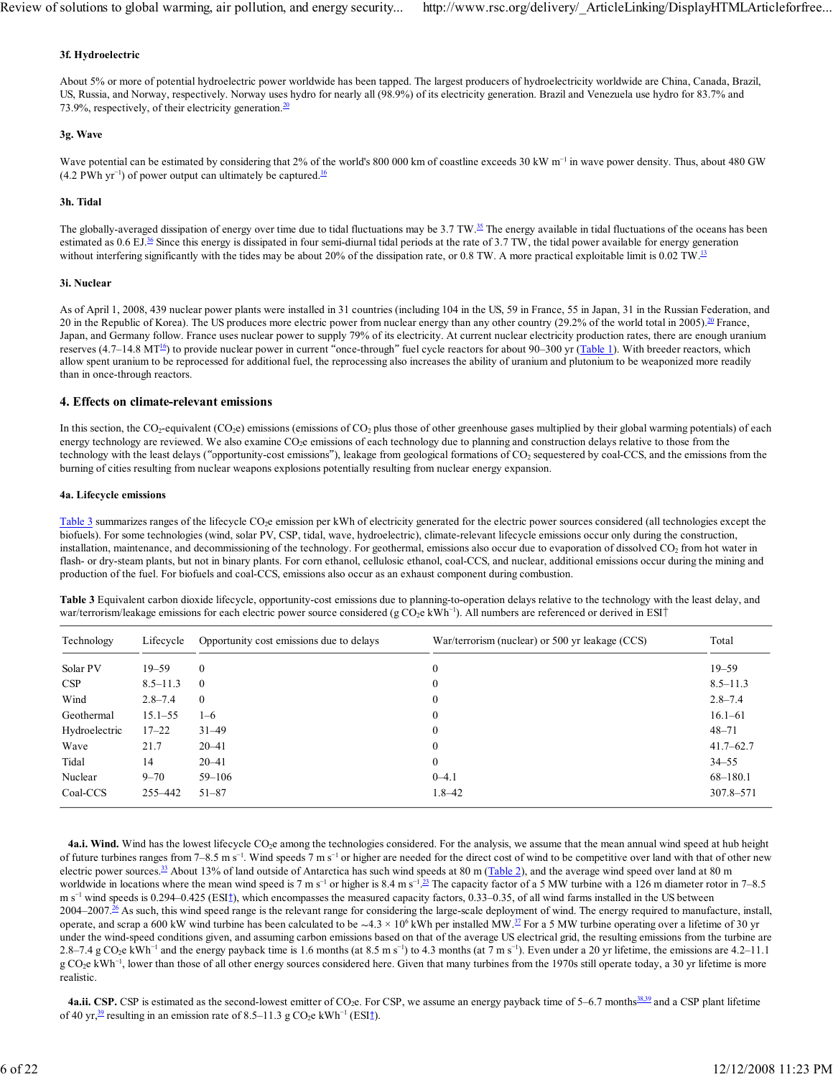# **3f. Hydroelectric**

About 5% or more of potential hydroelectric power worldwide has been tapped. The largest producers of hydroelectricity worldwide are China, Canada, Brazil, US, Russia, and Norway, respectively. Norway uses hydro for nearly all (98.9%) of its electricity generation. Brazil and Venezuela use hydro for 83.7% and 73.9%, respectively, of their electricity generation. $\frac{20}{20}$ 

# **3g. Wave**

Wave potential can be estimated by considering that 2% of the world's 800 000 km of coastline exceeds 30 kW m<sup>-1</sup> in wave power density. Thus, about 480 GW (4.2 PWh yr<sup>-1</sup>) of power output can ultimately be captured.<sup>16</sup>

# **3h. Tidal**

The globally-averaged dissipation of energy over time due to tidal fluctuations may be  $3.7 \text{ TW.}^{35}$  The energy available in tidal fluctuations of the oceans has been estimated as  $0.6$  EJ.<sup>36</sup> Since this energy is dissipated in four semi-diurnal tidal periods at the rate of 3.7 TW, the tidal power available for energy generation without interfering significantly with the tides may be about 20% of the dissipation rate, or 0.8 TW. A more practical exploitable limit is 0.02 TW.<sup>13</sup>

# **3i. Nuclear**

As of April 1, 2008, 439 nuclear power plants were installed in 31 countries (including 104 in the US, 59 in France, 55 in Japan, 31 in the Russian Federation, and 20 in the Republic of Korea). The US produces more electric power from nuclear energy than any other country (29.2% of the world total in 2005).<sup>20</sup> France, Japan, and Germany follow. France uses nuclear power to supply 79% of its electricity. At current nuclear electricity production rates, there are enough uranium reserves  $(4.7-14.8 \text{ MT}^{\text{16}})$  to provide nuclear power in current "once-through" fuel cycle reactors for about 90–300 yr (Table 1). With breeder reactors, which allow spent uranium to be reprocessed for additional fuel, the reprocessing also increases the ability of uranium and plutonium to be weaponized more readily than in once-through reactors.

# **4. Effects on climate-relevant emissions**

In this section, the CO<sub>2</sub>-equivalent (CO<sub>2</sub>e) emissions (emissions of CO<sub>2</sub> plus those of other greenhouse gases multiplied by their global warming potentials) of each energy technology are reviewed. We also examine CO<sub>2</sub>e emissions of each technology due to planning and construction delays relative to those from the technology with the least delays ("opportunity-cost emissions"), leakage from geological formations of CO<sub>2</sub> sequestered by coal-CCS, and the emissions from the burning of cities resulting from nuclear weapons explosions potentially resulting from nuclear energy expansion.

# **4a. Lifecycle emissions**

Table 3 summarizes ranges of the lifecycle CO<sub>2</sub>e emission per kWh of electricity generated for the electric power sources considered (all technologies except the biofuels). For some technologies (wind, solar PV, CSP, tidal, wave, hydroelectric), climate-relevant lifecycle emissions occur only during the construction, installation, maintenance, and decommissioning of the technology. For geothermal, emissions also occur due to evaporation of dissolved CO2 from hot water in flash- or dry-steam plants, but not in binary plants. For corn ethanol, cellulosic ethanol, coal-CCS, and nuclear, additional emissions occur during the mining and production of the fuel. For biofuels and coal-CCS, emissions also occur as an exhaust component during combustion.

**Table 3** Equivalent carbon dioxide lifecycle, opportunity-cost emissions due to planning-to-operation delays relative to the technology with the least delay, and war/terrorism/leakage emissions for each electric power source considered (g CO<sub>2</sub>e kWh<sup>-1</sup>). All numbers are referenced or derived in ESI<sup>†</sup>

| Technology    | Lifecycle    | Opportunity cost emissions due to delays | War/terrorism (nuclear) or 500 yr leakage (CCS) | Total         |
|---------------|--------------|------------------------------------------|-------------------------------------------------|---------------|
| Solar PV      | $19 - 59$    | $\overline{0}$                           | $\mathbf{0}$                                    | $19 - 59$     |
| CSP           | $8.5 - 11.3$ | $\overline{0}$                           | $\theta$                                        | $8.5 - 11.3$  |
| Wind          | $2.8 - 7.4$  | $\theta$                                 | $\theta$                                        | $2.8 - 7.4$   |
| Geothermal    | $15.1 - 55$  | $1 - 6$                                  | $\theta$                                        | $16.1 - 61$   |
| Hydroelectric | $17 - 22$    | $31 - 49$                                | $\theta$                                        | $48 - 71$     |
| Wave          | 21.7         | $20 - 41$                                | $\theta$                                        | $41.7 - 62.7$ |
| Tidal         | 14           | $20 - 41$                                | $\theta$                                        | $34 - 55$     |
| Nuclear       | $9 - 70$     | $59 - 106$                               | $0 - 4.1$                                       | 68-180.1      |
| Coal-CCS      | 255-442      | $51 - 87$                                | $1.8 - 42$                                      | 307.8-571     |

4a.i. Wind. Wind has the lowest lifecycle CO<sub>2</sub>e among the technologies considered. For the analysis, we assume that the mean annual wind speed at hub height of future turbines ranges from 7–8.5 m s<sup>-1</sup>. Wind speeds 7 m s<sup>-1</sup> or higher are needed for the direct cost of wind to be competitive over land with that of other new electric power sources.<sup>33</sup> About 13% of land outside of Antarctica has such wind speeds at 80 m (Table 2), and the average wind speed over land at 80 m worldwide in locations where the mean wind speed is 7 m s<sup>-1</sup> or higher is 8.4 m s<sup>-1</sup>.<sup>23</sup> The capacity factor of a 5 MW turbine with a 126 m diameter rotor in 7–8.5 m s<sup>-1</sup> wind speeds is 0.294–0.425 (ESI1), which encompasses the measured capacity factors, 0.33–0.35, of all wind farms installed in the US between  $2004-2007.26$  As such, this wind speed range is the relevant range for considering the large-scale deployment of wind. The energy required to manufacture, install, operate, and scrap a 600 kW wind turbine has been calculated to be  $\sim$  4.3  $\times$  10<sup>6</sup> kWh per installed MW.<sup>37</sup> For a 5 MW turbine operating over a lifetime of 30 yr under the wind-speed conditions given, and assuming carbon emissions based on that of the average US electrical grid, the resulting emissions from the turbine are 2.8–7.4 g CO<sub>2</sub>e kWh<sup>-1</sup> and the energy payback time is 1.6 months (at 8.5 m s<sup>-1</sup>) to 4.3 months (at 7 m s<sup>-1</sup>). Even under a 20 yr lifetime, the emissions are 4.2–11.1 g CO<sub>2</sub>e kWh<sup>-1</sup>, lower than those of all other energy sources considered here. Given that many turbines from the 1970s still operate today, a 30 yr lifetime is more realistic.

**4a.ii. CSP.** CSP is estimated as the second-lowest emitter of CO<sub>2</sub>e. For CSP, we assume an energy payback time of 5–6.7 months<sup>38,39</sup> and a CSP plant lifetime of 40 yr,<sup>39</sup> resulting in an emission rate of 8.5–11.3 g CO<sub>2</sub>e kWh<sup>-1</sup> (ESI<sup>†</sup>).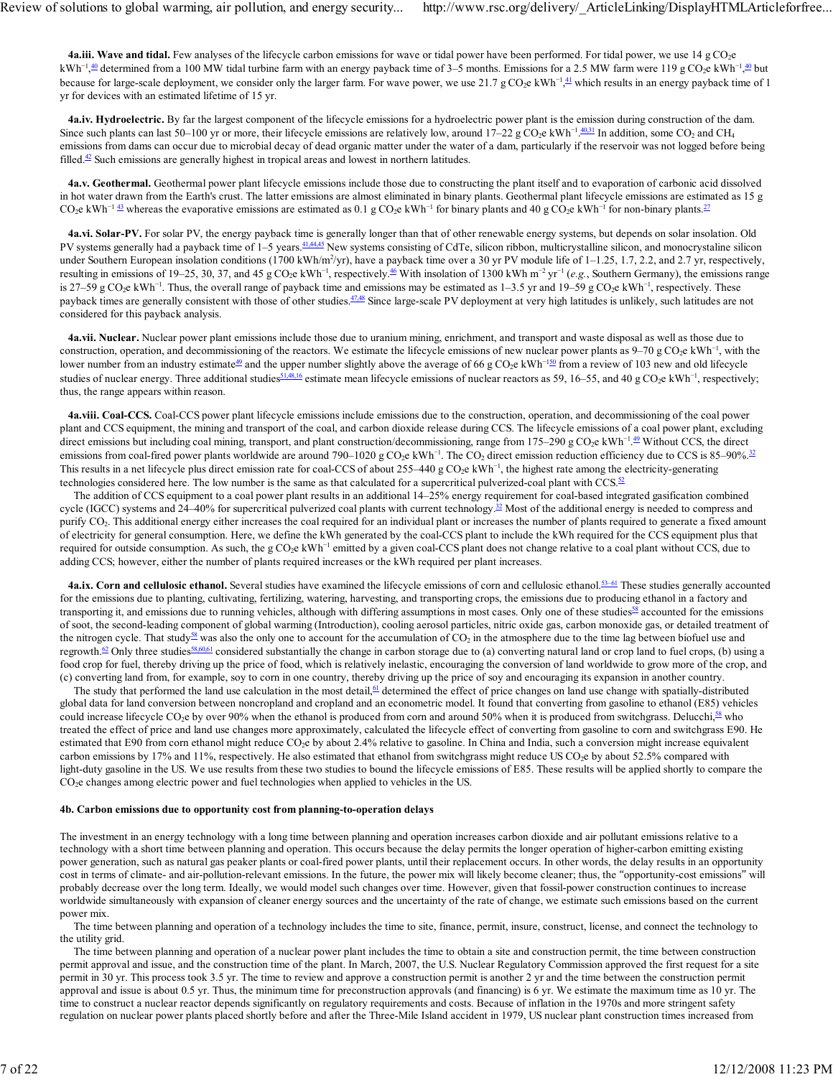**4a.iii. Wave and tidal.** Few analyses of the lifecycle carbon emissions for wave or tidal power have been performed. For tidal power, we use 14 g CO<sub>2</sub>e kWh<sup>-1,40</sup> determined from a 100 MW tidal turbine farm with an energy payback time of 3–5 months. Emissions for a 2.5 MW farm were 119 g CO<sub>2</sub>e kWh<sup>-1,40</sup> but because for large-scale deployment, we consider only the larger farm. For wave power, we use 21.7 g CO<sub>2</sub>e kWh<sup>-1,41</sup> which results in an energy payback time of 1 yr for devices with an estimated lifetime of 15 yr.

**4a.iv. Hydroelectric.** By far the largest component of the lifecycle emissions for a hydroelectric power plant is the emission during construction of the dam. Since such plants can last 50–100 yr or more, their lifecycle emissions are relatively low, around 17–22 g CO<sub>2</sub>e kWh<sup>-1</sup>.<sup>40,31</sup> In addition, some CO<sub>2</sub> and CH<sub>4</sub> emissions from dams can occur due to microbial decay of dead organic matter under the water of a dam, particularly if the reservoir was not logged before being filled. $\frac{42}{5}$  Such emissions are generally highest in tropical areas and lowest in northern latitudes.

**4a.v. Geothermal.** Geothermal power plant lifecycle emissions include those due to constructing the plant itself and to evaporation of carbonic acid dissolved in hot water drawn from the Earth's crust. The latter emissions are almost eliminated in binary plants. Geothermal plant lifecycle emissions are estimated as 15 g CO<sub>2</sub>e kWh<sup>-1 43</sup> whereas the evaporative emissions are estimated as 0.1 g CO<sub>2</sub>e kWh<sup>-1</sup> for binary plants and 40 g CO<sub>2</sub>e kWh<sup>-1</sup> for non-binary plants.<sup>27</sup>

**4a.vi. Solar-PV.** For solar PV, the energy payback time is generally longer than that of other renewable energy systems, but depends on solar insolation. Old PV systems generally had a payback time of  $1-5$  years. $41,4445$  New systems consisting of CdTe, silicon ribbon, multicrystalline silicon, and monocrystaline silicon under Southern European insolation conditions (1700 kWh/m<sup>2</sup>/yr), have a payback time over a 30 yr PV module life of 1–1.25, 1.7, 2.2, and 2.7 yr, respectively, resulting in emissions of 19–25, 30, 37, and 45 g CO2e kWh−1, respectively.<sup>46</sup> With insolation of 1300 kWh m−2 yr−1 (*e.g.*, Southern Germany), the emissions range is 27–59 g CO<sub>2</sub>e kWh<sup>-1</sup>. Thus, the overall range of payback time and emissions may be estimated as 1–3.5 yr and 19–59 g CO<sub>2</sub>e kWh<sup>-1</sup>, respectively. These payback times are generally consistent with those of other studies.<sup>47,48</sup> Since large-scale PV deployment at very high latitudes is unlikely, such latitudes are not considered for this payback analysis.

**4a.vii. Nuclear.** Nuclear power plant emissions include those due to uranium mining, enrichment, and transport and waste disposal as well as those due to construction, operation, and decommissioning of the reactors. We estimate the lifecycle emissions of new nuclear power plants as 9–70 g CO<sub>2</sub>e kWh<sup>-1</sup>, with the lower number from an industry estimate<sup>49</sup> and the upper number slightly above the average of 66 g CO<sub>2</sub>e kWh<sup>-150</sup> from a review of 103 new and old lifecycle studies of nuclear energy. Three additional studies<sup>51,48,16</sup> estimate mean lifecycle emissions of nuclear reactors as 59, 16–55, and 40 g CO<sub>2</sub>e kWh<sup>-1</sup>, respectively; thus, the range appears within reason.

**4a.viii. Coal-CCS.** Coal-CCS power plant lifecycle emissions include emissions due to the construction, operation, and decommissioning of the coal power plant and CCS equipment, the mining and transport of the coal, and carbon dioxide release during CCS. The lifecycle emissions of a coal power plant, excluding direct emissions but including coal mining, transport, and plant construction/decommissioning, range from 175–290 g CO<sub>2</sub>e kWh<sup>-1,49</sup> Without CCS, the direct emissions from coal-fired power plants worldwide are around 790–1020 g CO<sub>2</sub>e kWh<sup>-1</sup>. The CO<sub>2</sub> direct emission reduction efficiency due to CCS is 85–90%.<sup>32</sup> This results in a net lifecycle plus direct emission rate for coal-CCS of about 255–440 g CO<sub>2</sub>e kWh<sup>-1</sup>, the highest rate among the electricity-generating technologies considered here. The low number is the same as that calculated for a supercritical pulverized-coal plant with  $CCS<sup>22</sup>$ 

The addition of CCS equipment to a coal power plant results in an additional 14–25% energy requirement for coal-based integrated gasification combined cycle (IGCC) systems and 24–40% for supercritical pulverized coal plants with current technology.<sup>32</sup> Most of the additional energy is needed to compress and purify CO<sub>2</sub>. This additional energy either increases the coal required for an individual plant or increases the number of plants required to generate a fixed amount of electricity for general consumption. Here, we define the kWh generated by the coal-CCS plant to include the kWh required for the CCS equipment plus that required for outside consumption. As such, the g  $CO<sub>2</sub>e$  kWh<sup>-1</sup> emitted by a given coal-CCS plant does not change relative to a coal plant without CCS, due to adding CCS; however, either the number of plants required increases or the kWh required per plant increases.

4a.ix. Corn and cellulosic ethanol. Several studies have examined the lifecycle emissions of corn and cellulosic ethanol.<sup>53–61</sup> These studies generally accounted for the emissions due to planting, cultivating, fertilizing, watering, harvesting, and transporting crops, the emissions due to producing ethanol in a factory and transporting it, and emissions due to running vehicles, although with differing assumptions in most cases. Only one of these studies<sup>58</sup> accounted for the emissions of soot, the second-leading component of global warming (Introduction), cooling aerosol particles, nitric oxide gas, carbon monoxide gas, or detailed treatment of the nitrogen cycle. That study<sup>58</sup> was also the only one to account for the accumulation of  $CO<sub>2</sub>$  in the atmosphere due to the time lag between biofuel use and regrowth.<sup>62</sup> Only three studies<sup>58,60,61</sup> considered substantially the change in carbon storage due to (a) converting natural land or crop land to fuel crops, (b) using a food crop for fuel, thereby driving up the price of food, which is relatively inelastic, encouraging the conversion of land worldwide to grow more of the crop, and (c) converting land from, for example, soy to corn in one country, thereby driving up the price of soy and encouraging its expansion in another country.

The study that performed the land use calculation in the most detail, $61$  determined the effect of price changes on land use change with spatially-distributed global data for land conversion between noncropland and cropland and an econometric model. It found that converting from gasoline to ethanol (E85) vehicles could increase lifecycle CO<sub>2</sub>e by over 90% when the ethanol is produced from corn and around 50% when it is produced from switchgrass. Delucchi, $\frac{58}{10}$  who treated the effect of price and land use changes more approximately, calculated the lifecycle effect of converting from gasoline to corn and switchgrass E90. He estimated that E90 from corn ethanol might reduce  $CO<sub>2</sub>$ e by about 2.4% relative to gasoline. In China and India, such a conversion might increase equivalent carbon emissions by 17% and 11%, respectively. He also estimated that ethanol from switchgrass might reduce US CO<sub>2</sub>e by about 52.5% compared with light-duty gasoline in the US. We use results from these two studies to bound the lifecycle emissions of E85. These results will be applied shortly to compare the CO2e changes among electric power and fuel technologies when applied to vehicles in the US.

#### **4b. Carbon emissions due to opportunity cost from planning-to-operation delays**

The investment in an energy technology with a long time between planning and operation increases carbon dioxide and air pollutant emissions relative to a technology with a short time between planning and operation. This occurs because the delay permits the longer operation of higher-carbon emitting existing power generation, such as natural gas peaker plants or coal-fired power plants, until their replacement occurs. In other words, the delay results in an opportunity cost in terms of climate- and air-pollution-relevant emissions. In the future, the power mix will likely become cleaner; thus, the "opportunity-cost emissions" will probably decrease over the long term. Ideally, we would model such changes over time. However, given that fossil-power construction continues to increase worldwide simultaneously with expansion of cleaner energy sources and the uncertainty of the rate of change, we estimate such emissions based on the current power mix.

The time between planning and operation of a technology includes the time to site, finance, permit, insure, construct, license, and connect the technology to the utility grid.

The time between planning and operation of a nuclear power plant includes the time to obtain a site and construction permit, the time between construction permit approval and issue, and the construction time of the plant. In March, 2007, the U.S. Nuclear Regulatory Commission approved the first request for a site permit in 30 yr. This process took 3.5 yr. The time to review and approve a construction permit is another 2 yr and the time between the construction permit approval and issue is about 0.5 yr. Thus, the minimum time for preconstruction approvals (and financing) is 6 yr. We estimate the maximum time as 10 yr. The time to construct a nuclear reactor depends significantly on regulatory requirements and costs. Because of inflation in the 1970s and more stringent safety regulation on nuclear power plants placed shortly before and after the Three-Mile Island accident in 1979, US nuclear plant construction times increased from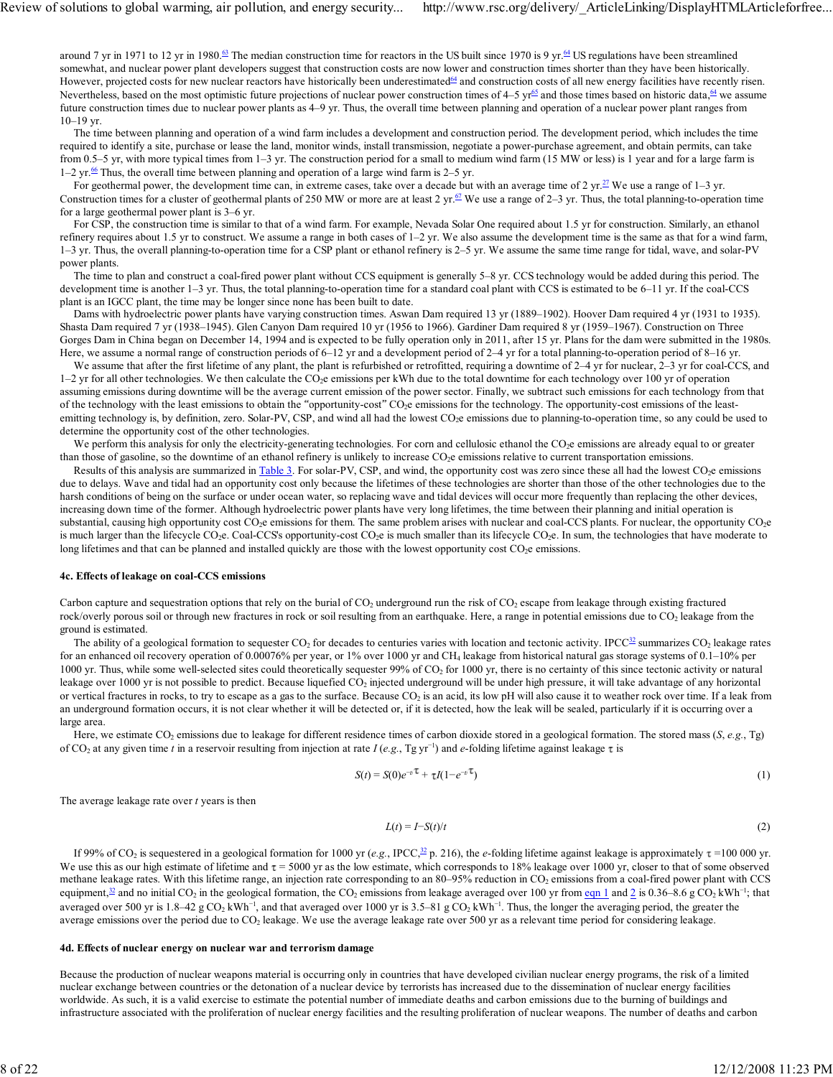around 7 yr in 1971 to 12 yr in 1980.<sup>63</sup> The median construction time for reactors in the US built since 1970 is 9 yr.<sup>64</sup> US regulations have been streamlined somewhat, and nuclear power plant developers suggest that construction costs are now lower and construction times shorter than they have been historically. However, projected costs for new nuclear reactors have historically been underestimated $64$  and construction costs of all new energy facilities have recently risen. Nevertheless, based on the most optimistic future projections of nuclear power construction times of  $4-5$  yr<sup>65</sup> and those times based on historic data,<sup>64</sup> we assume future construction times due to nuclear power plants as 4–9 yr. Thus, the overall time between planning and operation of a nuclear power plant ranges from 10–19 yr.

The time between planning and operation of a wind farm includes a development and construction period. The development period, which includes the time required to identify a site, purchase or lease the land, monitor winds, install transmission, negotiate a power-purchase agreement, and obtain permits, can take from 0.5–5 yr, with more typical times from 1–3 yr. The construction period for a small to medium wind farm (15 MW or less) is 1 year and for a large farm is 1–2 yr.<sup>66</sup> Thus, the overall time between planning and operation of a large wind farm is 2–5 yr.

For geothermal power, the development time can, in extreme cases, take over a decade but with an average time of 2 yr.<sup>27</sup> We use a range of 1–3 yr. Construction times for a cluster of geothermal plants of 250 MW or more are at least 2 yr.<sup>67</sup> We use a range of 2–3 yr. Thus, the total planning-to-operation time for a large geothermal power plant is 3–6 yr.

For CSP, the construction time is similar to that of a wind farm. For example, Nevada Solar One required about 1.5 yr for construction. Similarly, an ethanol refinery requires about 1.5 yr to construct. We assume a range in both cases of  $1-2$  yr. We also assume the development time is the same as that for a wind farm, 1–3 yr. Thus, the overall planning-to-operation time for a CSP plant or ethanol refinery is 2–5 yr. We assume the same time range for tidal, wave, and solar-PV power plants.

The time to plan and construct a coal-fired power plant without CCS equipment is generally 5–8 yr. CCS technology would be added during this period. The development time is another 1–3 yr. Thus, the total planning-to-operation time for a standard coal plant with CCS is estimated to be 6–11 yr. If the coal-CCS plant is an IGCC plant, the time may be longer since none has been built to date.

Dams with hydroelectric power plants have varying construction times. Aswan Dam required 13 yr (1889–1902). Hoover Dam required 4 yr (1931 to 1935). Shasta Dam required 7 yr (1938–1945). Glen Canyon Dam required 10 yr (1956 to 1966). Gardiner Dam required 8 yr (1959–1967). Construction on Three Gorges Dam in China began on December 14, 1994 and is expected to be fully operation only in 2011, after 15 yr. Plans for the dam were submitted in the 1980s. Here, we assume a normal range of construction periods of 6–12 yr and a development period of 2–4 yr for a total planning-to-operation period of 8–16 yr.

We assume that after the first lifetime of any plant, the plant is refurbished or retrofitted, requiring a downtime of 2–4 yr for nuclear, 2–3 yr for coal-CCS, and  $1-2$  yr for all other technologies. We then calculate the CO<sub>2</sub>e emissions per kWh due to the total downtime for each technology over 100 yr of operation assuming emissions during downtime will be the average current emission of the power sector. Finally, we subtract such emissions for each technology from that of the technology with the least emissions to obtain the "opportunity-cost" CO<sub>2</sub>e emissions for the technology. The opportunity-cost emissions of the leastemitting technology is, by definition, zero. Solar-PV, CSP, and wind all had the lowest CO<sub>2</sub>e emissions due to planning-to-operation time, so any could be used to determine the opportunity cost of the other technologies.

We perform this analysis for only the electricity-generating technologies. For corn and cellulosic ethanol the  $CO<sub>2</sub>e$  emissions are already equal to or greater than those of gasoline, so the downtime of an ethanol refinery is unlikely to increase CO2e emissions relative to current transportation emissions.

Results of this analysis are summarized in Table 3. For solar-PV, CSP, and wind, the opportunity cost was zero since these all had the lowest CO<sub>2</sub>e emissions due to delays. Wave and tidal had an opportunity cost only because the lifetimes of these technologies are shorter than those of the other technologies due to the harsh conditions of being on the surface or under ocean water, so replacing wave and tidal devices will occur more frequently than replacing the other devices, increasing down time of the former. Although hydroelectric power plants have very long lifetimes, the time between their planning and initial operation is substantial, causing high opportunity  $\cos C O_2$ e emissions for them. The same problem arises with nuclear and coal-CCS plants. For nuclear, the opportunity  $CO_2$ e is much larger than the lifecycle CO<sub>2</sub>e. Coal-CCS's opportunity-cost CO<sub>2</sub>e is much smaller than its lifecycle CO<sub>2</sub>e. In sum, the technologies that have moderate to long lifetimes and that can be planned and installed quickly are those with the lowest opportunity cost  $CO<sub>2</sub>e$  emissions.

#### **4c. Effects of leakage on coal-CCS emissions**

Carbon capture and sequestration options that rely on the burial of  $CO<sub>2</sub>$  underground run the risk of  $CO<sub>2</sub>$  escape from leakage through existing fractured rock/overly porous soil or through new fractures in rock or soil resulting from an earthquake. Here, a range in potential emissions due to  $CO<sub>2</sub>$  leakage from the ground is estimated.

The ability of a geological formation to sequester CO<sub>2</sub> for decades to centuries varies with location and tectonic activity. IPCC $32$  summarizes CO<sub>2</sub> leakage rates for an enhanced oil recovery operation of 0.00076% per year, or 1% over 1000 yr and CH4 leakage from historical natural gas storage systems of 0.1–10% per 1000 yr. Thus, while some well-selected sites could theoretically sequester 99% of CO<sub>2</sub> for 1000 yr, there is no certainty of this since tectonic activity or natural leakage over 1000 yr is not possible to predict. Because liquefied CO<sub>2</sub> injected underground will be under high pressure, it will take advantage of any horizontal or vertical fractures in rocks, to try to escape as a gas to the surface. Because CO<sub>2</sub> is an acid, its low pH will also cause it to weather rock over time. If a leak from an underground formation occurs, it is not clear whether it will be detected or, if it is detected, how the leak will be sealed, particularly if it is occurring over a large area.

Here, we estimate CO2 emissions due to leakage for different residence times of carbon dioxide stored in a geological formation. The stored mass (*S*, *e.g.*, Tg) of CO2 at any given time *t* in a reservoir resulting from injection at rate *I* (*e.g.*, Tg yr−1) and *e*-folding lifetime against leakage is

$$
S(t) = S(0)e^{-t/\mathcal{I}} + \tau I(1 - e^{-t/\mathcal{I}})
$$
\n
$$
(1)
$$

The average leakage rate over *t* years is then

$$
L(t) = I - S(t)/t
$$
 (2)

If 99% of CO<sub>2</sub> is sequestered in a geological formation for 1000 yr (*e.g.*, IPCC,<sup>32</sup> p. 216), the *e*-folding lifetime against leakage is approximately  $\tau$  =100 000 yr. We use this as our high estimate of lifetime and  $\tau = 5000$  yr as the low estimate, which corresponds to 18% leakage over 1000 yr, closer to that of some observed methane leakage rates. With this lifetime range, an injection rate corresponding to an 80–95% reduction in CO2 emissions from a coal-fired power plant with CCS equipment, $\frac{32}{2}$  and no initial CO<sub>2</sub> in the geological formation, the CO<sub>2</sub> emissions from leakage averaged over 100 yr from eqn 1 and 2 is 0.36–8.6 g CO<sub>2</sub> kWh<sup>-1</sup>; that averaged over 500 yr is 1.8–42 g CO<sub>2</sub> kWh<sup>-1</sup>, and that averaged over 1000 yr is 3.5–81 g CO<sub>2</sub> kWh<sup>-1</sup>. Thus, the longer the averaging period, the greater the average emissions over the period due to CO<sub>2</sub> leakage. We use the average leakage rate over 500 yr as a relevant time period for considering leakage.

# **4d. Effects of nuclear energy on nuclear war and terrorism damage**

Because the production of nuclear weapons material is occurring only in countries that have developed civilian nuclear energy programs, the risk of a limited nuclear exchange between countries or the detonation of a nuclear device by terrorists has increased due to the dissemination of nuclear energy facilities worldwide. As such, it is a valid exercise to estimate the potential number of immediate deaths and carbon emissions due to the burning of buildings and infrastructure associated with the proliferation of nuclear energy facilities and the resulting proliferation of nuclear weapons. The number of deaths and carbon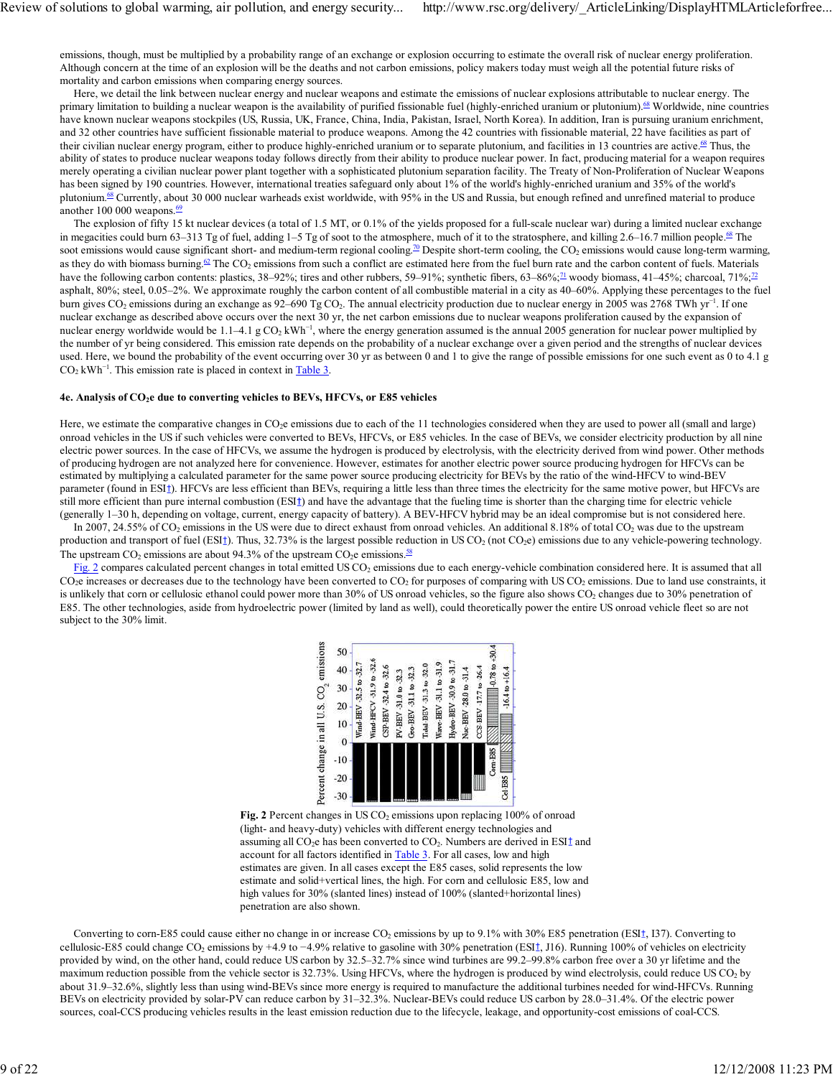emissions, though, must be multiplied by a probability range of an exchange or explosion occurring to estimate the overall risk of nuclear energy proliferation. Although concern at the time of an explosion will be the deaths and not carbon emissions, policy makers today must weigh all the potential future risks of mortality and carbon emissions when comparing energy sources.

Here, we detail the link between nuclear energy and nuclear weapons and estimate the emissions of nuclear explosions attributable to nuclear energy. The primary limitation to building a nuclear weapon is the availability of purified fissionable fuel (highly-enriched uranium or plutonium).<sup>68</sup> Worldwide, nine countries have known nuclear weapons stockpiles (US, Russia, UK, France, China, India, Pakistan, Israel, North Korea). In addition, Iran is pursuing uranium enrichment, and 32 other countries have sufficient fissionable material to produce weapons. Among the 42 countries with fissionable material, 22 have facilities as part of their civilian nuclear energy program, either to produce highly-enriched uranium or to separate plutonium, and facilities in 13 countries are active.<sup>68</sup> Thus, the ability of states to produce nuclear weapons today follows directly from their ability to produce nuclear power. In fact, producing material for a weapon requires merely operating a civilian nuclear power plant together with a sophisticated plutonium separation facility. The Treaty of Non-Proliferation of Nuclear Weapons has been signed by 190 countries. However, international treaties safeguard only about 1% of the world's highly-enriched uranium and 35% of the world's plutonium.<sup>68</sup> Currently, about 30 000 nuclear warheads exist worldwide, with 95% in the US and Russia, but enough refined and unrefined material to produce another 100 000 weapons. $\frac{69}{6}$ 

The explosion of fifty 15 kt nuclear devices (a total of 1.5 MT, or 0.1% of the yields proposed for a full-scale nuclear war) during a limited nuclear exchange in megacities could burn 63–313 Tg of fuel, adding 1–5 Tg of soot to the atmosphere, much of it to the stratosphere, and killing 2.6–16.7 million people.<sup>68</sup> The soot emissions would cause significant short- and medium-term regional cooling.<sup>70</sup> Despite short-term cooling, the CO<sub>2</sub> emissions would cause long-term warming, as they do with biomass burning.<sup>62</sup> The CO<sub>2</sub> emissions from such a conflict are estimated here from the fuel burn rate and the carbon content of fuels. Materials have the following carbon contents: plastics, 38–92%; tires and other rubbers, 59–91%; synthetic fibers, 63–86%;<sup>71</sup> woody biomass, 41–45%; charcoal, 71%;<sup>72</sup> asphalt, 80%; steel, 0.05–2%. We approximate roughly the carbon content of all combustible material in a city as 40–60%. Applying these percentages to the fuel burn gives CO2 emissions during an exchange as 92–690 Tg CO2. The annual electricity production due to nuclear energy in 2005 was 2768 TWh yr−1. If one nuclear exchange as described above occurs over the next 30 yr, the net carbon emissions due to nuclear weapons proliferation caused by the expansion of nuclear energy worldwide would be 1.1–4.1 g CO<sub>2</sub> kWh<sup>-1</sup>, where the energy generation assumed is the annual 2005 generation for nuclear power multiplied by the number of yr being considered. This emission rate depends on the probability of a nuclear exchange over a given period and the strengths of nuclear devices used. Here, we bound the probability of the event occurring over 30 yr as between 0 and 1 to give the range of possible emissions for one such event as 0 to 4.1 g  $CO<sub>2</sub>$  kWh<sup>-1</sup>. This emission rate is placed in context in Table 3.

#### **4e. Analysis of CO2e due to converting vehicles to BEVs, HFCVs, or E85 vehicles**

Here, we estimate the comparative changes in CO<sub>2</sub>e emissions due to each of the 11 technologies considered when they are used to power all (small and large) onroad vehicles in the US if such vehicles were converted to BEVs, HFCVs, or E85 vehicles. In the case of BEVs, we consider electricity production by all nine electric power sources. In the case of HFCVs, we assume the hydrogen is produced by electrolysis, with the electricity derived from wind power. Other methods of producing hydrogen are not analyzed here for convenience. However, estimates for another electric power source producing hydrogen for HFCVs can be estimated by multiplying a calculated parameter for the same power source producing electricity for BEVs by the ratio of the wind-HFCV to wind-BEV parameter (found in ESI1). HFCVs are less efficient than BEVs, requiring a little less than three times the electricity for the same motive power, but HFCVs are still more efficient than pure internal combustion (ESI1) and have the advantage that the fueling time is shorter than the charging time for electric vehicle (generally 1–30 h, depending on voltage, current, energy capacity of battery). A BEV-HFCV hybrid may be an ideal compromise but is not considered here.

In 2007, 24.55% of  $CO_2$  emissions in the US were due to direct exhaust from onroad vehicles. An additional 8.18% of total  $CO_2$  was due to the upstream production and transport of fuel (ESI<sup>†</sup>). Thus, 32.73% is the largest possible reduction in US CO<sub>2</sub> (not CO<sub>2</sub>e) emissions due to any vehicle-powering technology. The upstream  $CO_2$  emissions are about 94.3% of the upstream  $CO_2$ e emissions.<sup>58</sup>

Fig. 2 compares calculated percent changes in total emitted US CO<sub>2</sub> emissions due to each energy-vehicle combination considered here. It is assumed that all  $CO_2$ e increases or decreases due to the technology have been converted to  $CO_2$  for purposes of comparing with US  $CO_2$  emissions. Due to land use constraints, it is unlikely that corn or cellulosic ethanol could power more than 30% of US onroad vehicles, so the figure also shows CO<sub>2</sub> changes due to 30% penetration of E85. The other technologies, aside from hydroelectric power (limited by land as well), could theoretically power the entire US onroad vehicle fleet so are not subject to the 30% limit.



**Fig. 2** Percent changes in US  $CO<sub>2</sub>$  emissions upon replacing 100% of onroad (light- and heavy-duty) vehicles with different energy technologies and assuming all CO<sub>2</sub>e has been converted to CO<sub>2</sub>. Numbers are derived in ESI<sup>1</sup> and account for all factors identified in Table 3. For all cases, low and high estimates are given. In all cases except the E85 cases, solid represents the low estimate and solid+vertical lines, the high. For corn and cellulosic E85, low and high values for 30% (slanted lines) instead of 100% (slanted+horizontal lines) penetration are also shown.

Converting to corn-E85 could cause either no change in or increase CO<sub>2</sub> emissions by up to 9.1% with 30% E85 penetration (ESI1, 137). Converting to cellulosic-E85 could change CO<sub>2</sub> emissions by +4.9 to −4.9% relative to gasoline with 30% penetration (ESI<sup>†</sup>, J16). Running 100% of vehicles on electricity provided by wind, on the other hand, could reduce US carbon by 32.5–32.7% since wind turbines are 99.2–99.8% carbon free over a 30 yr lifetime and the maximum reduction possible from the vehicle sector is 32.73%. Using HFCVs, where the hydrogen is produced by wind electrolysis, could reduce US CO2 by about 31.9–32.6%, slightly less than using wind-BEVs since more energy is required to manufacture the additional turbines needed for wind-HFCVs. Running BEVs on electricity provided by solar-PV can reduce carbon by 31–32.3%. Nuclear-BEVs could reduce US carbon by 28.0–31.4%. Of the electric power sources, coal-CCS producing vehicles results in the least emission reduction due to the lifecycle, leakage, and opportunity-cost emissions of coal-CCS.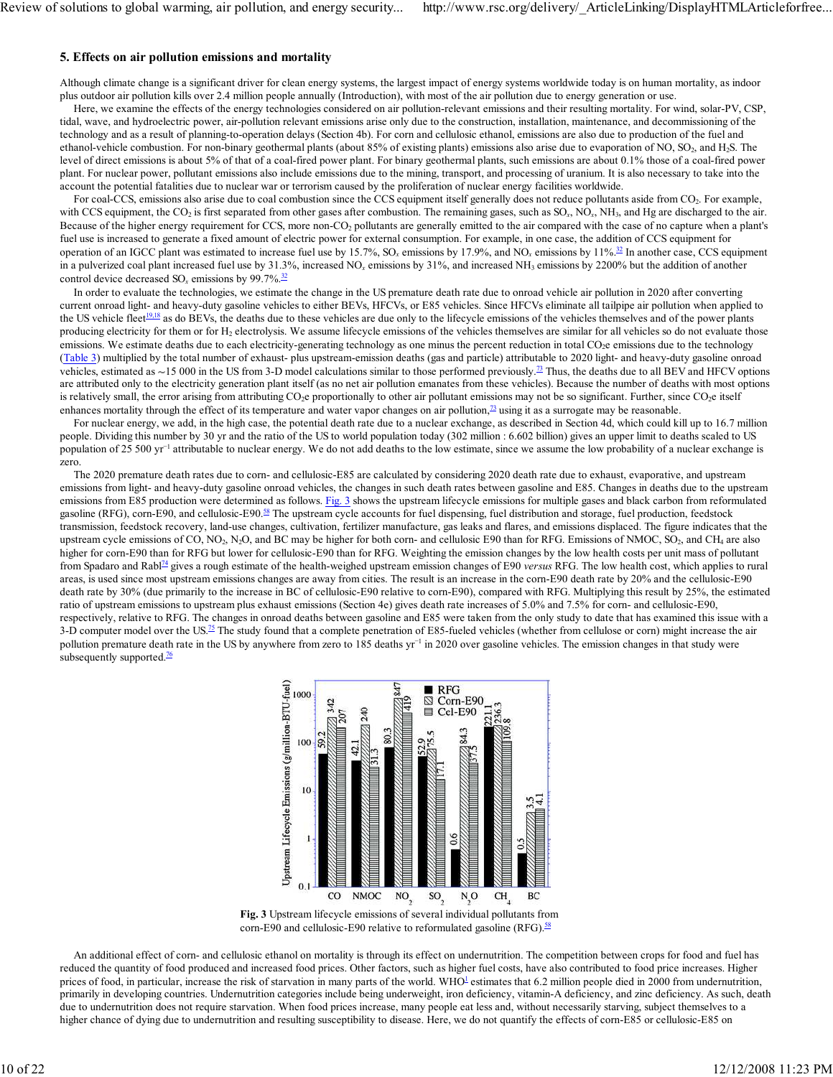# **5. Effects on air pollution emissions and mortality**

Although climate change is a significant driver for clean energy systems, the largest impact of energy systems worldwide today is on human mortality, as indoor plus outdoor air pollution kills over 2.4 million people annually (Introduction), with most of the air pollution due to energy generation or use.

Here, we examine the effects of the energy technologies considered on air pollution-relevant emissions and their resulting mortality. For wind, solar-PV, CSP, tidal, wave, and hydroelectric power, air-pollution relevant emissions arise only due to the construction, installation, maintenance, and decommissioning of the technology and as a result of planning-to-operation delays (Section 4b). For corn and cellulosic ethanol, emissions are also due to production of the fuel and ethanol-vehicle combustion. For non-binary geothermal plants (about 85% of existing plants) emissions also arise due to evaporation of NO, SO<sub>2</sub>, and H<sub>2</sub>S. The level of direct emissions is about 5% of that of a coal-fired power plant. For binary geothermal plants, such emissions are about 0.1% those of a coal-fired power plant. For nuclear power, pollutant emissions also include emissions due to the mining, transport, and processing of uranium. It is also necessary to take into the account the potential fatalities due to nuclear war or terrorism caused by the proliferation of nuclear energy facilities worldwide.

For coal-CCS, emissions also arise due to coal combustion since the CCS equipment itself generally does not reduce pollutants aside from CO<sub>2</sub>. For example, with CCS equipment, the CO<sub>2</sub> is first separated from other gases after combustion. The remaining gases, such as SO<sub>x</sub>, NO<sub>x</sub>, NH<sub>3</sub>, and Hg are discharged to the air. Because of the higher energy requirement for CCS, more non-CO<sub>2</sub> pollutants are generally emitted to the air compared with the case of no capture when a plant's fuel use is increased to generate a fixed amount of electric power for external consumption. For example, in one case, the addition of CCS equipment for operation of an IGCC plant was estimated to increase fuel use by 15.7%,  $SO_x$  emissions by 17.9%, and  $NO_x$  emissions by 11%.<sup>32</sup> In another case, CCS equipment in a pulverized coal plant increased fuel use by 31.3%, increased NO*x* emissions by 31%, and increased NH3 emissions by 2200% but the addition of another control device decreased  $SO<sub>x</sub>$  emissions by 99.7%.<sup>32</sup>

In order to evaluate the technologies, we estimate the change in the US premature death rate due to onroad vehicle air pollution in 2020 after converting current onroad light- and heavy-duty gasoline vehicles to either BEVs, HFCVs, or E85 vehicles. Since HFCVs eliminate all tailpipe air pollution when applied to the US vehicle fleet<sup>19,18</sup> as do BEVs, the deaths due to these vehicles are due only to the lifecycle emissions of the vehicles themselves and of the power plants producing electricity for them or for H<sub>2</sub> electrolysis. We assume lifecycle emissions of the vehicles themselves are similar for all vehicles so do not evaluate those emissions. We estimate deaths due to each electricity-generating technology as one minus the percent reduction in total CO<sub>2</sub>e emissions due to the technology (Table 3) multiplied by the total number of exhaust- plus upstream-emission deaths (gas and particle) attributable to 2020 light- and heavy-duty gasoline onroad vehicles, estimated as  $\sim$  15 000 in the US from 3-D model calculations similar to those performed previously.<sup>73</sup> Thus, the deaths due to all BEV and HFCV options are attributed only to the electricity generation plant itself (as no net air pollution emanates from these vehicles). Because the number of deaths with most options is relatively small, the error arising from attributing  $CO<sub>2</sub>e$  proportionally to other air pollutant emissions may not be so significant. Further, since  $CO<sub>2</sub>e$  itself enhances mortality through the effect of its temperature and water vapor changes on air pollution, $\frac{73}{2}$  using it as a surrogate may be reasonable.

For nuclear energy, we add, in the high case, the potential death rate due to a nuclear exchange, as described in Section 4d, which could kill up to 16.7 million people. Dividing this number by 30 yr and the ratio of the US to world population today (302 million : 6.602 billion) gives an upper limit to deaths scaled to US population of 25 500 yr−1 attributable to nuclear energy. We do not add deaths to the low estimate, since we assume the low probability of a nuclear exchange is zero.

The 2020 premature death rates due to corn- and cellulosic-E85 are calculated by considering 2020 death rate due to exhaust, evaporative, and upstream emissions from light- and heavy-duty gasoline onroad vehicles, the changes in such death rates between gasoline and E85. Changes in deaths due to the upstream emissions from E85 production were determined as follows. Fig. 3 shows the upstream lifecycle emissions for multiple gases and black carbon from reformulated gasoline (RFG), corn-E90, and cellulosic-E90.<sup>58</sup> The upstream cycle accounts for fuel dispensing, fuel distribution and storage, fuel production, feedstock transmission, feedstock recovery, land-use changes, cultivation, fertilizer manufacture, gas leaks and flares, and emissions displaced. The figure indicates that the upstream cycle emissions of CO,  $NO_2$ ,  $N_2O$ , and BC may be higher for both corn- and cellulosic E90 than for RFG. Emissions of NMOC, SO<sub>2</sub>, and CH<sub>4</sub> are also higher for corn-E90 than for RFG but lower for cellulosic-E90 than for RFG. Weighting the emission changes by the low health costs per unit mass of pollutant from Spadaro and Rabl<sup>74</sup> gives a rough estimate of the health-weighed upstream emission changes of E90 *versus* RFG. The low health cost, which applies to rural areas, is used since most upstream emissions changes are away from cities. The result is an increase in the corn-E90 death rate by 20% and the cellulosic-E90 death rate by 30% (due primarily to the increase in BC of cellulosic-E90 relative to corn-E90), compared with RFG. Multiplying this result by 25%, the estimated ratio of upstream emissions to upstream plus exhaust emissions (Section 4e) gives death rate increases of 5.0% and 7.5% for corn- and cellulosic-E90, respectively, relative to RFG. The changes in onroad deaths between gasoline and E85 were taken from the only study to date that has examined this issue with a 3-D computer model over the US.<sup>75</sup> The study found that a complete penetration of E85-fueled vehicles (whether from cellulose or corn) might increase the air pollution premature death rate in the US by anywhere from zero to 185 deaths yr<sup>-1</sup> in 2020 over gasoline vehicles. The emission changes in that study were subsequently supported. $\frac{76}{6}$ 



**Fig. 3** Upstream lifecycle emissions of several individual pollutants from corn-E90 and cellulosic-E90 relative to reformulated gasoline (RFG).<sup>58</sup>

An additional effect of corn- and cellulosic ethanol on mortality is through its effect on undernutrition. The competition between crops for food and fuel has reduced the quantity of food produced and increased food prices. Other factors, such as higher fuel costs, have also contributed to food price increases. Higher prices of food, in particular, increase the risk of starvation in many parts of the world. WHO<sup>1</sup> estimates that 6.2 million people died in 2000 from undernutrition, primarily in developing countries. Undernutrition categories include being underweight, iron deficiency, vitamin-A deficiency, and zinc deficiency. As such, death due to undernutrition does not require starvation. When food prices increase, many people eat less and, without necessarily starving, subject themselves to a higher chance of dying due to undernutrition and resulting susceptibility to disease. Here, we do not quantify the effects of corn-E85 or cellulosic-E85 on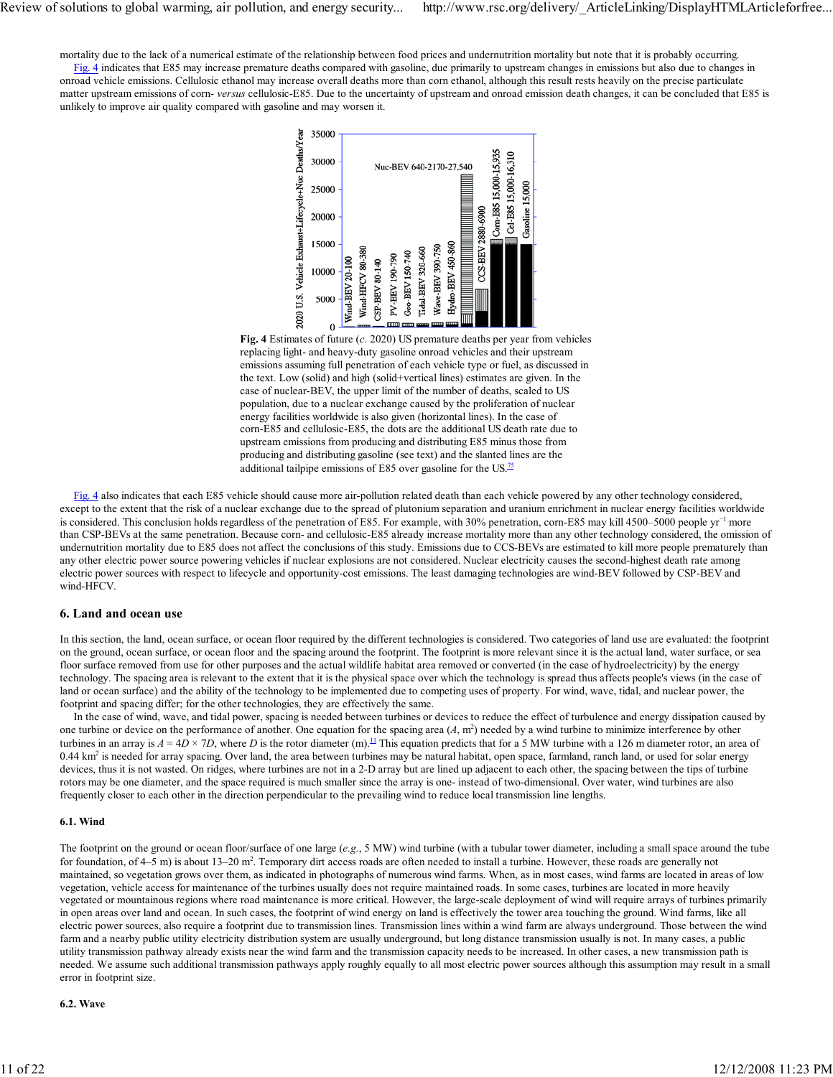mortality due to the lack of a numerical estimate of the relationship between food prices and undernutrition mortality but note that it is probably occurring. Fig. 4 indicates that E85 may increase premature deaths compared with gasoline, due primarily to upstream changes in emissions but also due to changes in onroad vehicle emissions. Cellulosic ethanol may increase overall deaths more than corn ethanol, although this result rests heavily on the precise particulate matter upstream emissions of corn- *versus* cellulosic-E85. Due to the uncertainty of upstream and onroad emission death changes, it can be concluded that E85 is unlikely to improve air quality compared with gasoline and may worsen it.



**Fig. 4** Estimates of future (*c.* 2020) US premature deaths per year from vehicles replacing light- and heavy-duty gasoline onroad vehicles and their upstream emissions assuming full penetration of each vehicle type or fuel, as discussed in the text. Low (solid) and high (solid+vertical lines) estimates are given. In the case of nuclear-BEV, the upper limit of the number of deaths, scaled to US population, due to a nuclear exchange caused by the proliferation of nuclear energy facilities worldwide is also given (horizontal lines). In the case of corn-E85 and cellulosic-E85, the dots are the additional US death rate due to upstream emissions from producing and distributing E85 minus those from producing and distributing gasoline (see text) and the slanted lines are the additional tailpipe emissions of E85 over gasoline for the US.<sup>75</sup>

Fig. 4 also indicates that each E85 vehicle should cause more air-pollution related death than each vehicle powered by any other technology considered, except to the extent that the risk of a nuclear exchange due to the spread of plutonium separation and uranium enrichment in nuclear energy facilities worldwide is considered. This conclusion holds regardless of the penetration of E85. For example, with 30% penetration, corn-E85 may kill 4500–5000 people yr−1 more than CSP-BEVs at the same penetration. Because corn- and cellulosic-E85 already increase mortality more than any other technology considered, the omission of undernutrition mortality due to E85 does not affect the conclusions of this study. Emissions due to CCS-BEVs are estimated to kill more people prematurely than any other electric power source powering vehicles if nuclear explosions are not considered. Nuclear electricity causes the second-highest death rate among electric power sources with respect to lifecycle and opportunity-cost emissions. The least damaging technologies are wind-BEV followed by CSP-BEV and wind-HFCV.

# **6. Land and ocean use**

In this section, the land, ocean surface, or ocean floor required by the different technologies is considered. Two categories of land use are evaluated: the footprint on the ground, ocean surface, or ocean floor and the spacing around the footprint. The footprint is more relevant since it is the actual land, water surface, or sea floor surface removed from use for other purposes and the actual wildlife habitat area removed or converted (in the case of hydroelectricity) by the energy technology. The spacing area is relevant to the extent that it is the physical space over which the technology is spread thus affects people's views (in the case of land or ocean surface) and the ability of the technology to be implemented due to competing uses of property. For wind, wave, tidal, and nuclear power, the footprint and spacing differ; for the other technologies, they are effectively the same.

In the case of wind, wave, and tidal power, spacing is needed between turbines or devices to reduce the effect of turbulence and energy dissipation caused by one turbine or device on the performance of another. One equation for the spacing area  $(A, m^2)$  needed by a wind turbine to minimize interference by other turbines in an array is  $A = 4D \times 7D$ , where *D* is the rotor diameter (m).<sup>11</sup> This equation predicts that for a 5 MW turbine with a 126 m diameter rotor, an area of 0.44 km<sup>2</sup> is needed for array spacing. Over land, the area between turbines may be natural habitat, open space, farmland, ranch land, or used for solar energy devices, thus it is not wasted. On ridges, where turbines are not in a 2-D array but are lined up adjacent to each other, the spacing between the tips of turbine rotors may be one diameter, and the space required is much smaller since the array is one- instead of two-dimensional. Over water, wind turbines are also frequently closer to each other in the direction perpendicular to the prevailing wind to reduce local transmission line lengths.

# **6.1. Wind**

The footprint on the ground or ocean floor/surface of one large (*e.g.*, 5 MW) wind turbine (with a tubular tower diameter, including a small space around the tube for foundation, of 4–5 m) is about 13–20 m<sup>2</sup>. Temporary dirt access roads are often needed to install a turbine. However, these roads are generally not maintained, so vegetation grows over them, as indicated in photographs of numerous wind farms. When, as in most cases, wind farms are located in areas of low vegetation, vehicle access for maintenance of the turbines usually does not require maintained roads. In some cases, turbines are located in more heavily vegetated or mountainous regions where road maintenance is more critical. However, the large-scale deployment of wind will require arrays of turbines primarily in open areas over land and ocean. In such cases, the footprint of wind energy on land is effectively the tower area touching the ground. Wind farms, like all electric power sources, also require a footprint due to transmission lines. Transmission lines within a wind farm are always underground. Those between the wind farm and a nearby public utility electricity distribution system are usually underground, but long distance transmission usually is not. In many cases, a public utility transmission pathway already exists near the wind farm and the transmission capacity needs to be increased. In other cases, a new transmission path is needed. We assume such additional transmission pathways apply roughly equally to all most electric power sources although this assumption may result in a small error in footprint size.

#### **6.2. Wave**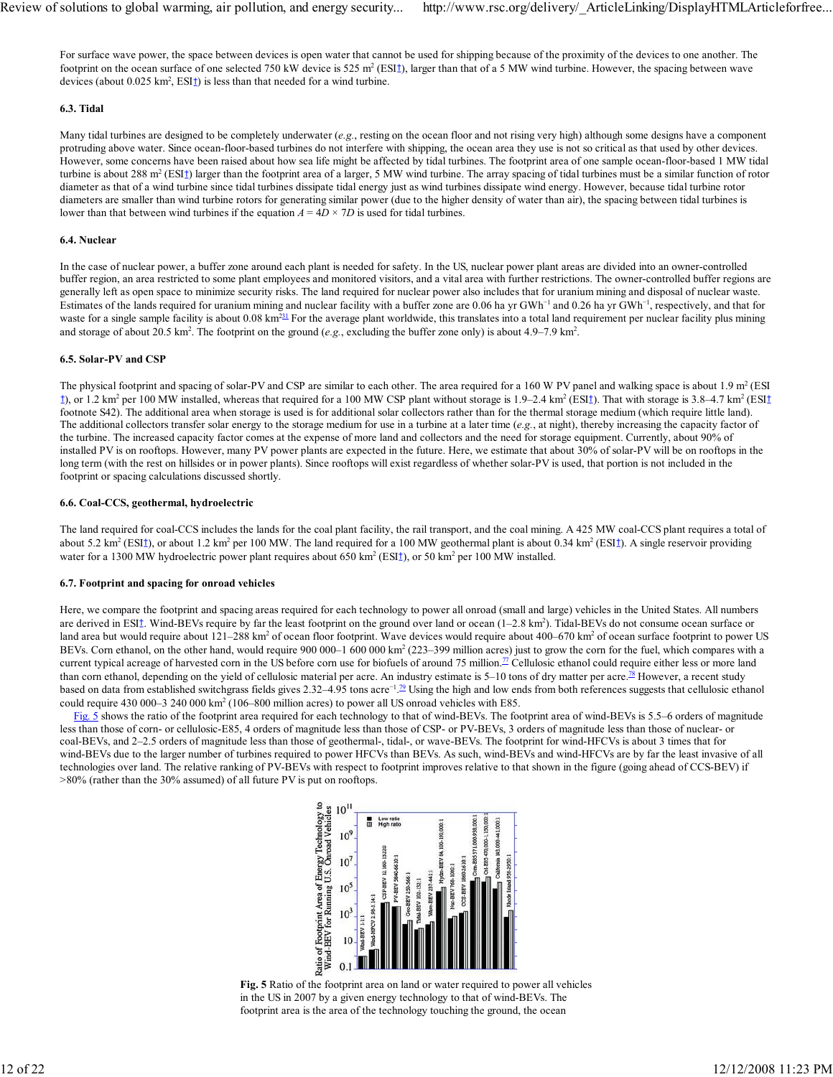For surface wave power, the space between devices is open water that cannot be used for shipping because of the proximity of the devices to one another. The footprint on the ocean surface of one selected 750 kW device is 525  $m^2$  (ESI<sup>†</sup>), larger than that of a 5 MW wind turbine. However, the spacing between wave devices (about  $0.025 \text{ km}^2$ , ESI $\text{I}$ ) is less than that needed for a wind turbine.

# **6.3. Tidal**

Many tidal turbines are designed to be completely underwater (*e.g.*, resting on the ocean floor and not rising very high) although some designs have a component protruding above water. Since ocean-floor-based turbines do not interfere with shipping, the ocean area they use is not so critical as that used by other devices. However, some concerns have been raised about how sea life might be affected by tidal turbines. The footprint area of one sample ocean-floor-based 1 MW tidal turbine is about 288 m<sup>2</sup> (ESI1) larger than the footprint area of a larger, 5 MW wind turbine. The array spacing of tidal turbines must be a similar function of rotor diameter as that of a wind turbine since tidal turbines dissipate tidal energy just as wind turbines dissipate wind energy. However, because tidal turbine rotor diameters are smaller than wind turbine rotors for generating similar power (due to the higher density of water than air), the spacing between tidal turbines is lower than that between wind turbines if the equation  $A = 4D \times 7D$  is used for tidal turbines.

# **6.4. Nuclear**

In the case of nuclear power, a buffer zone around each plant is needed for safety. In the US, nuclear power plant areas are divided into an owner-controlled buffer region, an area restricted to some plant employees and monitored visitors, and a vital area with further restrictions. The owner-controlled buffer regions are generally left as open space to minimize security risks. The land required for nuclear power also includes that for uranium mining and disposal of nuclear waste. Estimates of the lands required for uranium mining and nuclear facility with a buffer zone are 0.06 ha yr GWh<sup>-1</sup> and 0.26 ha yr GWh<sup>-1</sup>, respectively, and that for waste for a single sample facility is about 0.08 km<sup>231</sup> For the average plant worldwide, this translates into a total land requirement per nuclear facility plus mining and storage of about 20.5 km<sup>2</sup>. The footprint on the ground (*e.g.*, excluding the buffer zone only) is about  $4.9-7.9$  km<sup>2</sup>.

# **6.5. Solar-PV and CSP**

The physical footprint and spacing of solar-PV and CSP are similar to each other. The area required for a 160 W PV panel and walking space is about 1.9 m<sup>2</sup> (ESI ), or 1.2 km<sup>2</sup> per 100 MW installed, whereas that required for a 100 MW CSP plant without storage is 1.9–2.4 km<sup>2</sup> (ESI1). That with storage is 3.8–4.7 km<sup>2</sup> (ESI footnote S42). The additional area when storage is used is for additional solar collectors rather than for the thermal storage medium (which require little land). The additional collectors transfer solar energy to the storage medium for use in a turbine at a later time (*e.g.*, at night), thereby increasing the capacity factor of the turbine. The increased capacity factor comes at the expense of more land and collectors and the need for storage equipment. Currently, about 90% of installed PV is on rooftops. However, many PV power plants are expected in the future. Here, we estimate that about 30% of solar-PV will be on rooftops in the long term (with the rest on hillsides or in power plants). Since rooftops will exist regardless of whether solar-PV is used, that portion is not included in the footprint or spacing calculations discussed shortly.

# **6.6. Coal-CCS, geothermal, hydroelectric**

The land required for coal-CCS includes the lands for the coal plant facility, the rail transport, and the coal mining. A 425 MW coal-CCS plant requires a total of about 5.2 km<sup>2</sup> (ESI<sup>†</sup>), or about 1.2 km<sup>2</sup> per 100 MW. The land required for a 100 MW geothermal plant is about 0.34 km<sup>2</sup> (ESI†). A single reservoir providing water for a 1300 MW hydroelectric power plant requires about 650 km<sup>2</sup> (ESI<sup>†</sup>), or 50 km<sup>2</sup> per 100 MW installed.

# **6.7. Footprint and spacing for onroad vehicles**

Here, we compare the footprint and spacing areas required for each technology to power all onroad (small and large) vehicles in the United States. All numbers are derived in ESI<sup>†</sup>. Wind-BEVs require by far the least footprint on the ground over land or ocean  $(1-2.8 \text{ km}^2)$ . Tidal-BEVs do not consume ocean surface or land area but would require about  $121-288$  km<sup>2</sup> of ocean floor footprint. Wave devices would require about  $400-670$  km<sup>2</sup> of ocean surface footprint to power US BEVs. Corn ethanol, on the other hand, would require 900 000–1 600 000 km<sup>2</sup> (223–399 million acres) just to grow the corn for the fuel, which compares with a current typical acreage of harvested corn in the US before corn use for biofuels of around 75 million.<sup>77</sup> Cellulosic ethanol could require either less or more land than corn ethanol, depending on the yield of cellulosic material per acre. An industry estimate is  $5-10$  tons of dry matter per acre.<sup>78</sup> However, a recent study based on data from established switchgrass fields gives 2.32–4.95 tons acre<sup>-1</sup>.<sup>79</sup> Using the high and low ends from both references suggests that cellulosic ethanol could require  $430\,000-3\,240\,000\,\mathrm{km^2}$  (106–800 million acres) to power all US onroad vehicles with E85.

Fig. 5 shows the ratio of the footprint area required for each technology to that of wind-BEVs. The footprint area of wind-BEVs is 5.5–6 orders of magnitude less than those of corn- or cellulosic-E85, 4 orders of magnitude less than those of CSP- or PV-BEVs, 3 orders of magnitude less than those of nuclear- or coal-BEVs, and 2–2.5 orders of magnitude less than those of geothermal-, tidal-, or wave-BEVs. The footprint for wind-HFCVs is about 3 times that for wind-BEVs due to the larger number of turbines required to power HFCVs than BEVs. As such, wind-BEVs and wind-HFCVs are by far the least invasive of all technologies over land. The relative ranking of PV-BEVs with respect to footprint improves relative to that shown in the figure (going ahead of CCS-BEV) if >80% (rather than the 30% assumed) of all future PV is put on rooftops.



**Fig. 5** Ratio of the footprint area on land or water required to power all vehicles in the US in 2007 by a given energy technology to that of wind-BEVs. The footprint area is the area of the technology touching the ground, the ocean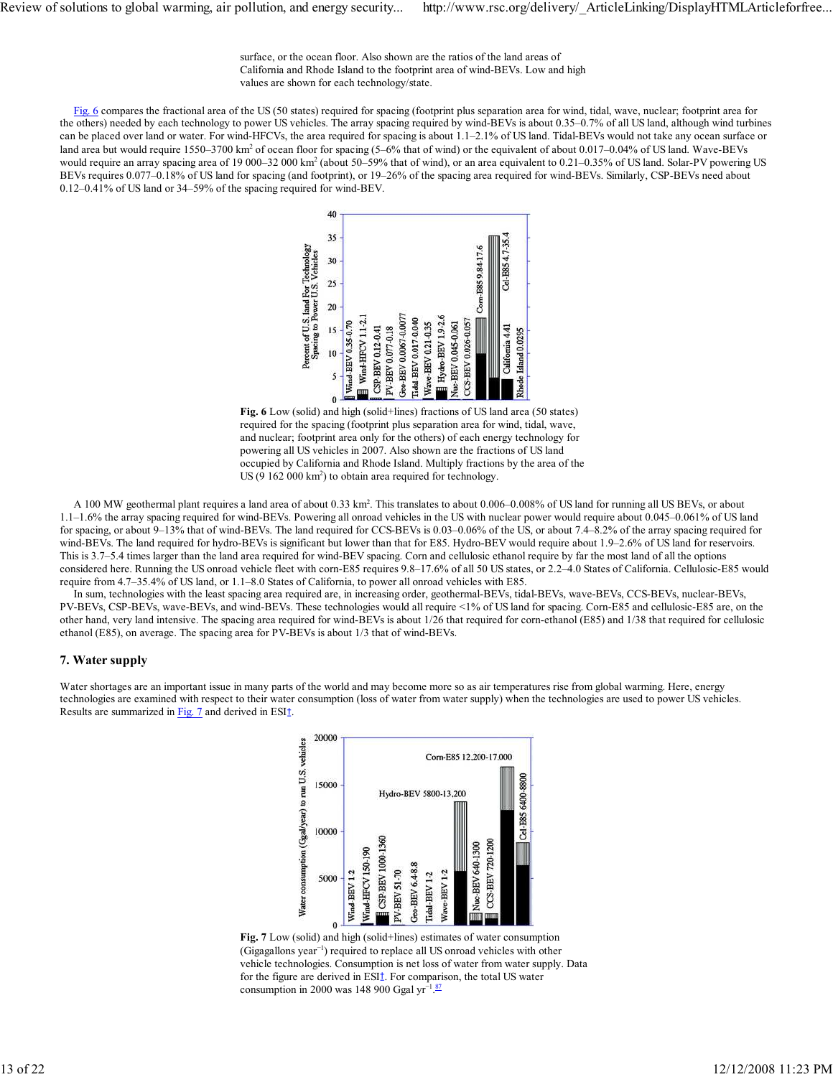surface, or the ocean floor. Also shown are the ratios of the land areas of California and Rhode Island to the footprint area of wind-BEVs. Low and high values are shown for each technology/state.

Fig. 6 compares the fractional area of the US (50 states) required for spacing (footprint plus separation area for wind, tidal, wave, nuclear; footprint area for the others) needed by each technology to power US vehicles. The array spacing required by wind-BEVs is about 0.35–0.7% of all US land, although wind turbines can be placed over land or water. For wind-HFCVs, the area required for spacing is about 1.1–2.1% of US land. Tidal-BEVs would not take any ocean surface or land area but would require 1550–3700 km<sup>2</sup> of ocean floor for spacing (5–6% that of wind) or the equivalent of about 0.017–0.04% of US land. Wave-BEVs would require an array spacing area of 19 000-32 000 km<sup>2</sup> (about 50-59% that of wind), or an area equivalent to 0.21-0.35% of US land. Solar-PV powering US BEVs requires 0.077–0.18% of US land for spacing (and footprint), or 19–26% of the spacing area required for wind-BEVs. Similarly, CSP-BEVs need about 0.12–0.41% of US land or 34–59% of the spacing required for wind-BEV.



**Fig. 6** Low (solid) and high (solid+lines) fractions of US land area (50 states) required for the spacing (footprint plus separation area for wind, tidal, wave, and nuclear; footprint area only for the others) of each energy technology for powering all US vehicles in 2007. Also shown are the fractions of US land occupied by California and Rhode Island. Multiply fractions by the area of the US (9 162 000 km<sup>2</sup>) to obtain area required for technology.

A 100 MW geothermal plant requires a land area of about 0.33 km<sup>2</sup>. This translates to about 0.006–0.008% of US land for running all US BEVs, or about 1.1–1.6% the array spacing required for wind-BEVs. Powering all onroad vehicles in the US with nuclear power would require about 0.045–0.061% of US land for spacing, or about 9–13% that of wind-BEVs. The land required for CCS-BEVs is 0.03–0.06% of the US, or about 7.4–8.2% of the array spacing required for wind-BEVs. The land required for hydro-BEVs is significant but lower than that for E85. Hydro-BEV would require about 1.9–2.6% of US land for reservoirs. This is 3.7–5.4 times larger than the land area required for wind-BEV spacing. Corn and cellulosic ethanol require by far the most land of all the options considered here. Running the US onroad vehicle fleet with corn-E85 requires 9.8–17.6% of all 50 US states, or 2.2–4.0 States of California. Cellulosic-E85 would require from 4.7–35.4% of US land, or 1.1–8.0 States of California, to power all onroad vehicles with E85.

In sum, technologies with the least spacing area required are, in increasing order, geothermal-BEVs, tidal-BEVs, wave-BEVs, CCS-BEVs, nuclear-BEVs, PV-BEVs, CSP-BEVs, wave-BEVs, and wind-BEVs. These technologies would all require <1% of US land for spacing. Corn-E85 and cellulosic-E85 are, on the other hand, very land intensive. The spacing area required for wind-BEVs is about 1/26 that required for corn-ethanol (E85) and 1/38 that required for cellulosic ethanol (E85), on average. The spacing area for PV-BEVs is about 1/3 that of wind-BEVs.

# **7. Water supply**

Water shortages are an important issue in many parts of the world and may become more so as air temperatures rise from global warming. Here, energy technologies are examined with respect to their water consumption (loss of water from water supply) when the technologies are used to power US vehicles. Results are summarized in  $Fig. 7$  and derived in ESI<sup> $\pm$ </sup>.



**Fig. 7** Low (solid) and high (solid+lines) estimates of water consumption (Gigagallons year−1) required to replace all US onroad vehicles with other vehicle technologies. Consumption is net loss of water from water supply. Data for the figure are derived in  $ESI<sup>†</sup>$ . For comparison, the total US water consumption in 2000 was 148 900 Ggal yr<sup>-1</sup>.<sup>87</sup>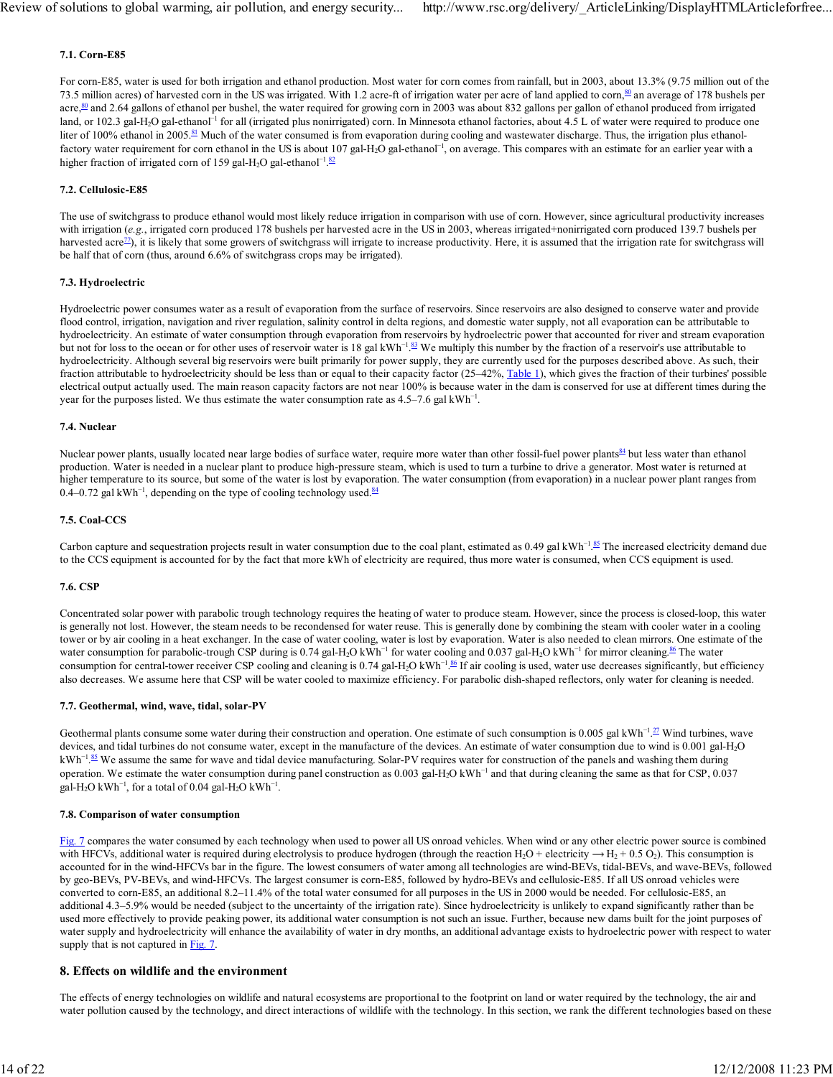# **7.1. Corn-E85**

For corn-E85, water is used for both irrigation and ethanol production. Most water for corn comes from rainfall, but in 2003, about 13.3% (9.75 million out of the 73.5 million acres) of harvested corn in the US was irrigated. With 1.2 acre-ft of irrigation water per acre of land applied to corn,<sup>80</sup> an average of 178 bushels per acre, ${}^{\text{80}}$  and 2.64 gallons of ethanol per bushel, the water required for growing corn in 2003 was about 832 gallons per gallon of ethanol produced from irrigated land, or 102.3 gal-H<sub>2</sub>O gal-ethanol<sup>-1</sup> for all (irrigated plus nonirrigated) corn. In Minnesota ethanol factories, about 4.5 L of water were required to produce one liter of 100% ethanol in 2005.<sup>81</sup> Much of the water consumed is from evaporation during cooling and wastewater discharge. Thus, the irrigation plus ethanolfactory water requirement for corn ethanol in the US is about 107 gal-H2O gal-ethanol−1, on average. This compares with an estimate for an earlier year with a higher fraction of irrigated corn of 159 gal-H<sub>2</sub>O gal-ethanol<sup>-1 82</sup>

# **7.2. Cellulosic-E85**

The use of switchgrass to produce ethanol would most likely reduce irrigation in comparison with use of corn. However, since agricultural productivity increases with irrigation (*e.g.*, irrigated corn produced 178 bushels per harvested acre in the US in 2003, whereas irrigated+nonirrigated corn produced 139.7 bushels per harvested  $\arctan{27}$ , it is likely that some growers of switchgrass will irrigate to increase productivity. Here, it is assumed that the irrigation rate for switchgrass will be half that of corn (thus, around 6.6% of switchgrass crops may be irrigated).

# **7.3. Hydroelectric**

Hydroelectric power consumes water as a result of evaporation from the surface of reservoirs. Since reservoirs are also designed to conserve water and provide flood control, irrigation, navigation and river regulation, salinity control in delta regions, and domestic water supply, not all evaporation can be attributable to hydroelectricity. An estimate of water consumption through evaporation from reservoirs by hydroelectric power that accounted for river and stream evaporation but not for loss to the ocean or for other uses of reservoir water is 18 gal kWh<sup>-1 83</sup>. We multiply this number by the fraction of a reservoir's use attributable to hydroelectricity. Although several big reservoirs were built primarily for power supply, they are currently used for the purposes described above. As such, their fraction attributable to hydroelectricity should be less than or equal to their capacity factor (25–42%, Table 1), which gives the fraction of their turbines' possible electrical output actually used. The main reason capacity factors are not near 100% is because water in the dam is conserved for use at different times during the year for the purposes listed. We thus estimate the water consumption rate as 4.5–7.6 gal kWh<sup>-1</sup>.

# **7.4. Nuclear**

Nuclear power plants, usually located near large bodies of surface water, require more water than other fossil-fuel power plants $\frac{84}{3}$  but less water than ethanol production. Water is needed in a nuclear plant to produce high-pressure steam, which is used to turn a turbine to drive a generator. Most water is returned at higher temperature to its source, but some of the water is lost by evaporation. The water consumption (from evaporation) in a nuclear power plant ranges from 0.4–0.72 gal kWh<sup>-1</sup>, depending on the type of cooling technology used.<sup>84</sup>

# **7.5. Coal-CCS**

Carbon capture and sequestration projects result in water consumption due to the coal plant, estimated as 0.49 gal kWh<sup>-1 ®</sup> The increased electricity demand due to the CCS equipment is accounted for by the fact that more kWh of electricity are required, thus more water is consumed, when CCS equipment is used.

# **7.6. CSP**

Concentrated solar power with parabolic trough technology requires the heating of water to produce steam. However, since the process is closed-loop, this water is generally not lost. However, the steam needs to be recondensed for water reuse. This is generally done by combining the steam with cooler water in a cooling tower or by air cooling in a heat exchanger. In the case of water cooling, water is lost by evaporation. Water is also needed to clean mirrors. One estimate of the water consumption for parabolic-trough CSP during is 0.74 gal-H<sub>2</sub>O kWh<sup>-1</sup> for water cooling and 0.037 gal-H<sub>2</sub>O kWh<sup>-1</sup> for mirror cleaning.<sup>86</sup> The water consumption for central-tower receiver CSP cooling and cleaning is 0.74 gal-H<sub>2</sub>O kWh<sup>-1 ®</sup> If air cooling is used, water use decreases significantly, but efficiency also decreases. We assume here that CSP will be water cooled to maximize efficiency. For parabolic dish-shaped reflectors, only water for cleaning is needed.

# **7.7. Geothermal, wind, wave, tidal, solar-PV**

Geothermal plants consume some water during their construction and operation. One estimate of such consumption is 0.005 gal kWh<sup>-1</sup>.<sup>27</sup> Wind turbines, wave devices, and tidal turbines do not consume water, except in the manufacture of the devices. An estimate of water consumption due to wind is 0.001 gal-H2O kWh<sup>-1 ®5</sup> We assume the same for wave and tidal device manufacturing. Solar-PV requires water for construction of the panels and washing them during operation. We estimate the water consumption during panel construction as 0.003 gal-H<sub>2</sub>O kWh<sup>-1</sup> and that during cleaning the same as that for CSP, 0.037 gal-H<sub>2</sub>O kWh<sup>-1</sup>, for a total of 0.04 gal-H<sub>2</sub>O kWh<sup>-1</sup>.

# **7.8. Comparison of water consumption**

Fig. 7 compares the water consumed by each technology when used to power all US onroad vehicles. When wind or any other electric power source is combined with HFCVs, additional water is required during electrolysis to produce hydrogen (through the reaction H<sub>2</sub>O + electricity  $\rightarrow$  H<sub>2</sub> + 0.5 O<sub>2</sub>). This consumption is accounted for in the wind-HFCVs bar in the figure. The lowest consumers of water among all technologies are wind-BEVs, tidal-BEVs, and wave-BEVs, followed by geo-BEVs, PV-BEVs, and wind-HFCVs. The largest consumer is corn-E85, followed by hydro-BEVs and cellulosic-E85. If all US onroad vehicles were converted to corn-E85, an additional 8.2–11.4% of the total water consumed for all purposes in the US in 2000 would be needed. For cellulosic-E85, an additional 4.3–5.9% would be needed (subject to the uncertainty of the irrigation rate). Since hydroelectricity is unlikely to expand significantly rather than be used more effectively to provide peaking power, its additional water consumption is not such an issue. Further, because new dams built for the joint purposes of water supply and hydroelectricity will enhance the availability of water in dry months, an additional advantage exists to hydroelectric power with respect to water supply that is not captured in Fig. 7.

# **8. Effects on wildlife and the environment**

The effects of energy technologies on wildlife and natural ecosystems are proportional to the footprint on land or water required by the technology, the air and water pollution caused by the technology, and direct interactions of wildlife with the technology. In this section, we rank the different technologies based on these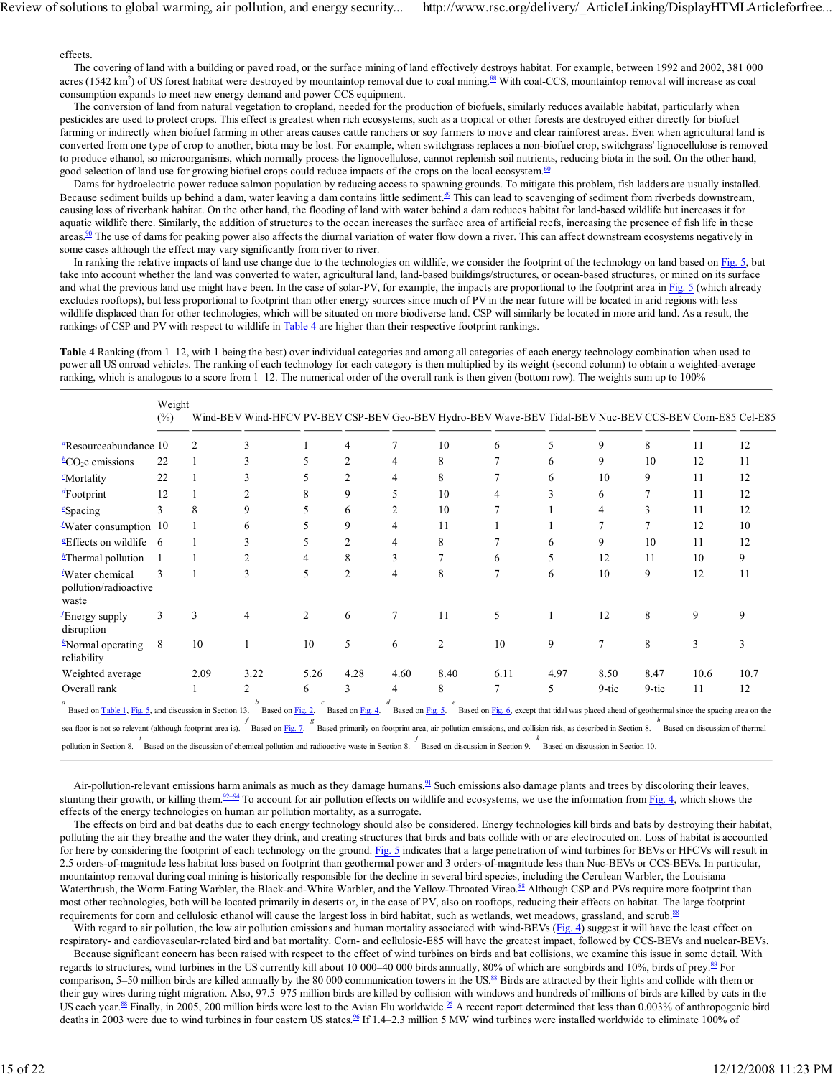effects.

The covering of land with a building or paved road, or the surface mining of land effectively destroys habitat. For example, between 1992 and 2002, 381 000 acres (1542 km<sup>2</sup>) of US forest habitat were destroyed by mountaintop removal due to coal mining.<sup>88</sup> With coal-CCS, mountaintop removal will increase as coal consumption expands to meet new energy demand and power CCS equipment.

The conversion of land from natural vegetation to cropland, needed for the production of biofuels, similarly reduces available habitat, particularly when pesticides are used to protect crops. This effect is greatest when rich ecosystems, such as a tropical or other forests are destroyed either directly for biofuel farming or indirectly when biofuel farming in other areas causes cattle ranchers or soy farmers to move and clear rainforest areas. Even when agricultural land is converted from one type of crop to another, biota may be lost. For example, when switchgrass replaces a non-biofuel crop, switchgrass' lignocellulose is removed to produce ethanol, so microorganisms, which normally process the lignocellulose, cannot replenish soil nutrients, reducing biota in the soil. On the other hand, good selection of land use for growing biofuel crops could reduce impacts of the crops on the local ecosystem.<sup>60</sup>

Dams for hydroelectric power reduce salmon population by reducing access to spawning grounds. To mitigate this problem, fish ladders are usually installed. Because sediment builds up behind a dam, water leaving a dam contains little sediment.<sup>89</sup> This can lead to scavenging of sediment from riverbeds downstream, causing loss of riverbank habitat. On the other hand, the flooding of land with water behind a dam reduces habitat for land-based wildlife but increases it for aquatic wildlife there. Similarly, the addition of structures to the ocean increases the surface area of artificial reefs, increasing the presence of fish life in these areas. $\frac{90}{2}$  The use of dams for peaking power also affects the diurnal variation of water flow down a river. This can affect downstream ecosystems negatively in some cases although the effect may vary significantly from river to river.

In ranking the relative impacts of land use change due to the technologies on wildlife, we consider the footprint of the technology on land based on Fig. 5, but take into account whether the land was converted to water, agricultural land, land-based buildings/structures, or ocean-based structures, or mined on its surface and what the previous land use might have been. In the case of solar-PV, for example, the impacts are proportional to the footprint area in Fig. 5 (which already excludes rooftops), but less proportional to footprint than other energy sources since much of PV in the near future will be located in arid regions with less wildlife displaced than for other technologies, which will be situated on more biodiverse land. CSP will similarly be located in more arid land. As a result, the rankings of CSP and PV with respect to wildlife in Table 4 are higher than their respective footprint rankings.

**Table 4** Ranking (from 1–12, with 1 being the best) over individual categories and among all categories of each energy technology combination when used to power all US onroad vehicles. The ranking of each technology for each category is then multiplied by its weight (second column) to obtain a weighted-average ranking, which is analogous to a score from 1–12. The numerical order of the overall rank is then given (bottom row). The weights sum up to 100%

|                                                                                                                                             | Weight<br>(%) |      | Wind-BEV Wind-HFCV PV-BEV CSP-BEV Geo-BEV Hydro-BEV Wave-BEV Tidal-BEV Nuc-BEV CCS-BEV Corn-E85 Cel-E85 |                       |                       |                       |                                                                                                            |      |                                                                                                      |                                    |       |                                |      |
|---------------------------------------------------------------------------------------------------------------------------------------------|---------------|------|---------------------------------------------------------------------------------------------------------|-----------------------|-----------------------|-----------------------|------------------------------------------------------------------------------------------------------------|------|------------------------------------------------------------------------------------------------------|------------------------------------|-------|--------------------------------|------|
| $R$ esourceabundance 10                                                                                                                     |               | 2    | 3                                                                                                       |                       |                       |                       | 10                                                                                                         | 6    | 5                                                                                                    | 9                                  | 8     | 11                             | 12   |
| <sup><b>CO<sub>2</sub></b> emissions</sup>                                                                                                  | 22            |      |                                                                                                         |                       | 2                     | 4                     | 8                                                                                                          |      | 6                                                                                                    | 9                                  | 10    | 12                             | 11   |
| <i><u><b>EMortality</b></u></i>                                                                                                             | 22            |      |                                                                                                         |                       | 2                     | 4                     | 8                                                                                                          |      | 6                                                                                                    | 10                                 | 9     | 11                             | 12   |
| $\frac{d}{dx}$ Footprint                                                                                                                    | 12            |      | 2                                                                                                       |                       | 9                     | 5                     | 10                                                                                                         | 4    |                                                                                                      | 6                                  | 7     | 11                             | 12   |
| $\epsilon$ Spacing                                                                                                                          | 3             | 8    | 9                                                                                                       |                       | 6                     | 2                     | 10                                                                                                         |      |                                                                                                      | 4                                  | 3     | 11                             | 12   |
| $\frac{N}{4}W$ ater consumption 10                                                                                                          |               |      | 6                                                                                                       |                       | 9                     | 4                     | 11                                                                                                         |      |                                                                                                      |                                    |       | 12                             | 10   |
| <b>"Effects on wildlife"</b>                                                                                                                | 6             |      |                                                                                                         |                       | 2                     | 4                     | 8                                                                                                          |      | 6                                                                                                    | 9                                  | 10    | 11                             | 12   |
| <i>F</i> Thermal pollution                                                                                                                  |               |      |                                                                                                         |                       | 8                     | 3                     |                                                                                                            | 6    | 5                                                                                                    | 12                                 | 11    | 10                             | 9    |
| <b>Water</b> chemical<br>pollution/radioactive<br>waste                                                                                     | 3             |      | 3                                                                                                       | 5                     | 2                     | 4                     | 8                                                                                                          | 7    | 6                                                                                                    | 10                                 | 9     | 12                             | 11   |
| <i>Energy supply</i><br>disruption                                                                                                          | 3             | 3    | 4                                                                                                       | $\overline{c}$        | 6                     |                       | 11                                                                                                         | 5    |                                                                                                      | 12                                 | 8     | 9                              | 9    |
| Normal operating<br>reliability                                                                                                             | 8             | 10   |                                                                                                         | 10                    | 5                     | 6                     | $\overline{2}$                                                                                             | 10   | 9                                                                                                    | 7                                  | 8     | 3                              | 3    |
| Weighted average                                                                                                                            |               | 2.09 | 3.22                                                                                                    | 5.26                  | 4.28                  | 4.60                  | 8.40                                                                                                       | 6.11 | 4.97                                                                                                 | 8.50                               | 8.47  | 10.6                           | 10.7 |
| Overall rank<br>Based on Table 1, Fig. 5, and discussion in Section 13.                                                                     |               |      | 2                                                                                                       | 6<br>Based on Fig. 2. | 3<br>Based on Fig. 4. | 4<br>Based on Fig. 5. | 8                                                                                                          | 7    | 5<br>Based on Fig. 6, except that tidal was placed ahead of geothermal since the spacing area on the | 9-tie                              | 9-tie | 11                             | 12   |
| sea floor is not so relevant (although footprint area is). Based on Fig. 7.                                                                 |               |      |                                                                                                         |                       |                       |                       | Based primarily on footprint area, air pollution emissions, and collision risk, as described in Section 8. |      |                                                                                                      |                                    |       | Based on discussion of thermal |      |
| pollution in Section 8. Based on the discussion of chemical pollution and radioactive waste in Section 8. Based on discussion in Section 9. |               |      |                                                                                                         |                       |                       |                       |                                                                                                            |      |                                                                                                      | Based on discussion in Section 10. |       |                                |      |

Air-pollution-relevant emissions harm animals as much as they damage humans.<sup>91</sup> Such emissions also damage plants and trees by discoloring their leaves, stunting their growth, or killing them. $\frac{92-94}{2}$  To account for air pollution effects on wildlife and ecosystems, we use the information from Fig. 4, which shows the effects of the energy technologies on human air pollution mortality, as a surrogate.

The effects on bird and bat deaths due to each energy technology should also be considered. Energy technologies kill birds and bats by destroying their habitat, polluting the air they breathe and the water they drink, and creating structures that birds and bats collide with or are electrocuted on. Loss of habitat is accounted for here by considering the footprint of each technology on the ground. Fig. 5 indicates that a large penetration of wind turbines for BEVs or HFCVs will result in 2.5 orders-of-magnitude less habitat loss based on footprint than geothermal power and 3 orders-of-magnitude less than Nuc-BEVs or CCS-BEVs. In particular, mountaintop removal during coal mining is historically responsible for the decline in several bird species, including the Cerulean Warbler, the Louisiana Waterthrush, the Worm-Eating Warbler, the Black-and-White Warbler, and the Yellow-Throated Vireo.<sup>88</sup> Although CSP and PVs require more footprint than most other technologies, both will be located primarily in deserts or, in the case of PV, also on rooftops, reducing their effects on habitat. The large footprint requirements for corn and cellulosic ethanol will cause the largest loss in bird habitat, such as wetlands, wet meadows, grassland, and scrub.<sup>88</sup>

With regard to air pollution, the low air pollution emissions and human mortality associated with wind-BEVs (Fig. 4) suggest it will have the least effect on respiratory- and cardiovascular-related bird and bat mortality. Corn- and cellulosic-E85 will have the greatest impact, followed by CCS-BEVs and nuclear-BEVs.

Because significant concern has been raised with respect to the effect of wind turbines on birds and bat collisions, we examine this issue in some detail. With regards to structures, wind turbines in the US currently kill about 10 000–40 000 birds annually, 80% of which are songbirds and 10%, birds of prey. $^{88}$  For comparison, 5–50 million birds are killed annually by the 80 000 communication towers in the US.<sup>88</sup> Birds are attracted by their lights and collide with them or their guy wires during night migration. Also, 97.5–975 million birds are killed by collision with windows and hundreds of millions of birds are killed by cats in the US each year.<sup>88</sup> Finally, in 2005, 200 million birds were lost to the Avian Flu worldwide.<sup>95</sup> A recent report determined that less than 0.003% of anthropogenic bird deaths in 2003 were due to wind turbines in four eastern US states.<sup>96</sup> If 1.4–2.3 million 5 MW wind turbines were installed worldwide to eliminate 100% of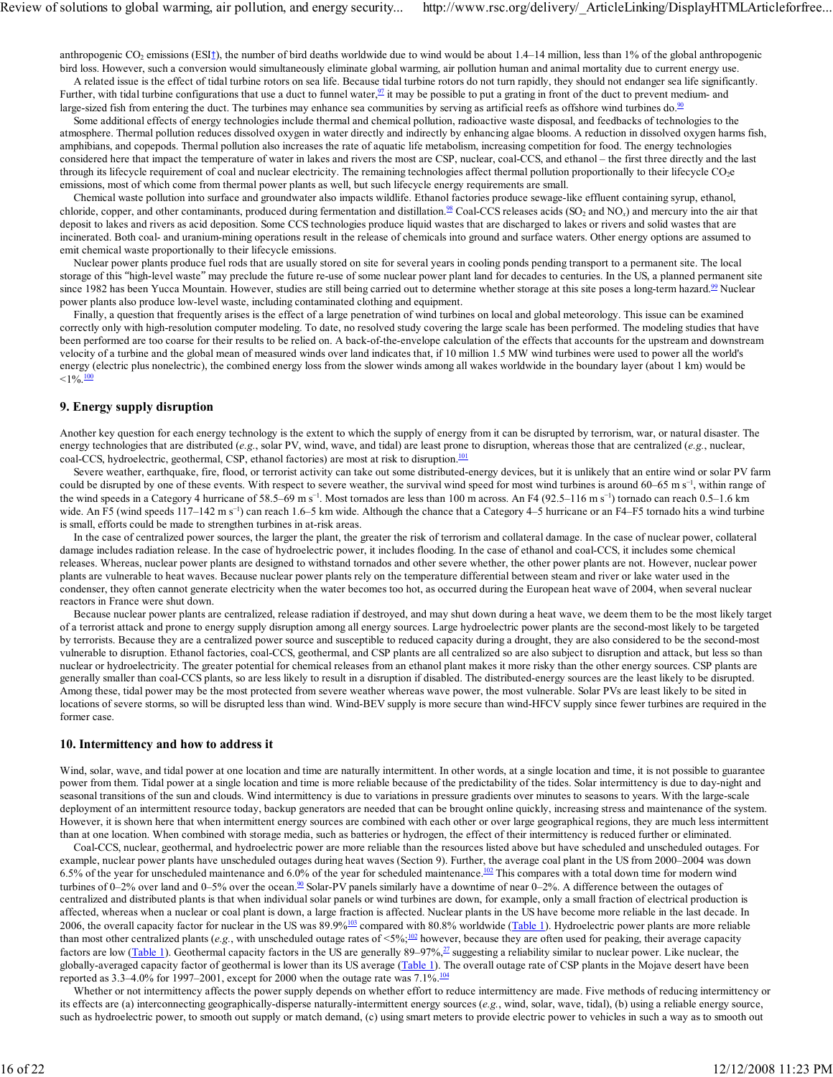anthropogenic  $CO_2$  emissions (ESI<sup>†</sup>), the number of bird deaths worldwide due to wind would be about 1.4–14 million, less than 1% of the global anthropogenic bird loss. However, such a conversion would simultaneously eliminate global warming, air pollution human and animal mortality due to current energy use.

A related issue is the effect of tidal turbine rotors on sea life. Because tidal turbine rotors do not turn rapidly, they should not endanger sea life significantly. Further, with tidal turbine configurations that use a duct to funnel water, $\frac{97}{2}$  it may be possible to put a grating in front of the duct to prevent medium- and large-sized fish from entering the duct. The turbines may enhance sea communities by serving as artificial reefs as offshore wind turbines do. $\frac{90}{10}$ 

Some additional effects of energy technologies include thermal and chemical pollution, radioactive waste disposal, and feedbacks of technologies to the atmosphere. Thermal pollution reduces dissolved oxygen in water directly and indirectly by enhancing algae blooms. A reduction in dissolved oxygen harms fish, amphibians, and copepods. Thermal pollution also increases the rate of aquatic life metabolism, increasing competition for food. The energy technologies considered here that impact the temperature of water in lakes and rivers the most are CSP, nuclear, coal-CCS, and ethanol – the first three directly and the last through its lifecycle requirement of coal and nuclear electricity. The remaining technologies affect thermal pollution proportionally to their lifecycle  $CO<sub>2</sub>$ e emissions, most of which come from thermal power plants as well, but such lifecycle energy requirements are small.

Chemical waste pollution into surface and groundwater also impacts wildlife. Ethanol factories produce sewage-like effluent containing syrup, ethanol, chloride, copper, and other contaminants, produced during fermentation and distillation.<sup>98</sup> Coal-CCS releases acids (SO<sub>2</sub> and NO<sub>x</sub>) and mercury into the air that deposit to lakes and rivers as acid deposition. Some CCS technologies produce liquid wastes that are discharged to lakes or rivers and solid wastes that are incinerated. Both coal- and uranium-mining operations result in the release of chemicals into ground and surface waters. Other energy options are assumed to emit chemical waste proportionally to their lifecycle emissions.

Nuclear power plants produce fuel rods that are usually stored on site for several years in cooling ponds pending transport to a permanent site. The local storage of this "high-level waste" may preclude the future re-use of some nuclear power plant land for decades to centuries. In the US, a planned permanent site since 1982 has been Yucca Mountain. However, studies are still being carried out to determine whether storage at this site poses a long-term hazard.<sup>99</sup> Nuclear power plants also produce low-level waste, including contaminated clothing and equipment.

Finally, a question that frequently arises is the effect of a large penetration of wind turbines on local and global meteorology. This issue can be examined correctly only with high-resolution computer modeling. To date, no resolved study covering the large scale has been performed. The modeling studies that have been performed are too coarse for their results to be relied on. A back-of-the-envelope calculation of the effects that accounts for the upstream and downstream velocity of a turbine and the global mean of measured winds over land indicates that, if 10 million 1.5 MW wind turbines were used to power all the world's energy (electric plus nonelectric), the combined energy loss from the slower winds among all wakes worldwide in the boundary layer (about 1 km) would be  $<$ 1%. $\frac{100}{100}$ 

# **9. Energy supply disruption**

Another key question for each energy technology is the extent to which the supply of energy from it can be disrupted by terrorism, war, or natural disaster. The energy technologies that are distributed (*e.g.*, solar PV, wind, wave, and tidal) are least prone to disruption, whereas those that are centralized (*e.g.*, nuclear, coal-CCS, hydroelectric, geothermal, CSP, ethanol factories) are most at risk to disruption.<sup>101</sup>

Severe weather, earthquake, fire, flood, or terrorist activity can take out some distributed-energy devices, but it is unlikely that an entire wind or solar PV farm could be disrupted by one of these events. With respect to severe weather, the survival wind speed for most wind turbines is around 60–65 m s<sup>−1</sup>, within range of the wind speeds in a Category 4 hurricane of 58.5–69 m s<sup>-1</sup>. Most tornados are less than 100 m across. An F4 (92.5–116 m s<sup>-1</sup>) tornado can reach 0.5–1.6 km wide. An F5 (wind speeds 117–142 m s<sup>-1</sup>) can reach 1.6–5 km wide. Although the chance that a Category 4–5 hurricane or an F4–F5 tornado hits a wind turbine is small, efforts could be made to strengthen turbines in at-risk areas.

In the case of centralized power sources, the larger the plant, the greater the risk of terrorism and collateral damage. In the case of nuclear power, collateral damage includes radiation release. In the case of hydroelectric power, it includes flooding. In the case of ethanol and coal-CCS, it includes some chemical releases. Whereas, nuclear power plants are designed to withstand tornados and other severe whether, the other power plants are not. However, nuclear power plants are vulnerable to heat waves. Because nuclear power plants rely on the temperature differential between steam and river or lake water used in the condenser, they often cannot generate electricity when the water becomes too hot, as occurred during the European heat wave of 2004, when several nuclear reactors in France were shut down.

Because nuclear power plants are centralized, release radiation if destroyed, and may shut down during a heat wave, we deem them to be the most likely target of a terrorist attack and prone to energy supply disruption among all energy sources. Large hydroelectric power plants are the second-most likely to be targeted by terrorists. Because they are a centralized power source and susceptible to reduced capacity during a drought, they are also considered to be the second-most vulnerable to disruption. Ethanol factories, coal-CCS, geothermal, and CSP plants are all centralized so are also subject to disruption and attack, but less so than nuclear or hydroelectricity. The greater potential for chemical releases from an ethanol plant makes it more risky than the other energy sources. CSP plants are generally smaller than coal-CCS plants, so are less likely to result in a disruption if disabled. The distributed-energy sources are the least likely to be disrupted. Among these, tidal power may be the most protected from severe weather whereas wave power, the most vulnerable. Solar PVs are least likely to be sited in locations of severe storms, so will be disrupted less than wind. Wind-BEV supply is more secure than wind-HFCV supply since fewer turbines are required in the former case.

# **10. Intermittency and how to address it**

Wind, solar, wave, and tidal power at one location and time are naturally intermittent. In other words, at a single location and time, it is not possible to guarantee power from them. Tidal power at a single location and time is more reliable because of the predictability of the tides. Solar intermittency is due to day-night and seasonal transitions of the sun and clouds. Wind intermittency is due to variations in pressure gradients over minutes to seasons to years. With the large-scale deployment of an intermittent resource today, backup generators are needed that can be brought online quickly, increasing stress and maintenance of the system. However, it is shown here that when intermittent energy sources are combined with each other or over large geographical regions, they are much less intermittent than at one location. When combined with storage media, such as batteries or hydrogen, the effect of their intermittency is reduced further or eliminated.

Coal-CCS, nuclear, geothermal, and hydroelectric power are more reliable than the resources listed above but have scheduled and unscheduled outages. For example, nuclear power plants have unscheduled outages during heat waves (Section 9). Further, the average coal plant in the US from 2000–2004 was down 6.5% of the year for unscheduled maintenance and 6.0% of the year for scheduled maintenance.<sup>102</sup> This compares with a total down time for modern wind turbines of 0–2% over land and 0–5% over the ocean.<sup>90</sup> Solar-PV panels similarly have a downtime of near 0–2%. A difference between the outages of centralized and distributed plants is that when individual solar panels or wind turbines are down, for example, only a small fraction of electrical production is affected, whereas when a nuclear or coal plant is down, a large fraction is affected. Nuclear plants in the US have become more reliable in the last decade. In 2006, the overall capacity factor for nuclear in the US was 89.9%<sup>103</sup> compared with 80.8% worldwide (Table 1). Hydroelectric power plants are more reliable than most other centralized plants (*e.g.*, with unscheduled outage rates of <5%;<sup>102</sup> however, because they are often used for peaking, their average capacity factors are low (Table 1). Geothermal capacity factors in the US are generally 89–97%,  $\frac{27}{2}$  suggesting a reliability similar to nuclear power. Like nuclear, the globally-averaged capacity factor of geothermal is lower than its US average (Table 1). The overall outage rate of CSP plants in the Mojave desert have been reported as 3.3-4.0% for 1997-2001, except for 2000 when the outage rate was  $7.1\%$ .<sup>104</sup>

Whether or not intermittency affects the power supply depends on whether effort to reduce intermittency are made. Five methods of reducing intermittency or its effects are (a) interconnecting geographically-disperse naturally-intermittent energy sources (*e.g.*, wind, solar, wave, tidal), (b) using a reliable energy source, such as hydroelectric power, to smooth out supply or match demand, (c) using smart meters to provide electric power to vehicles in such a way as to smooth out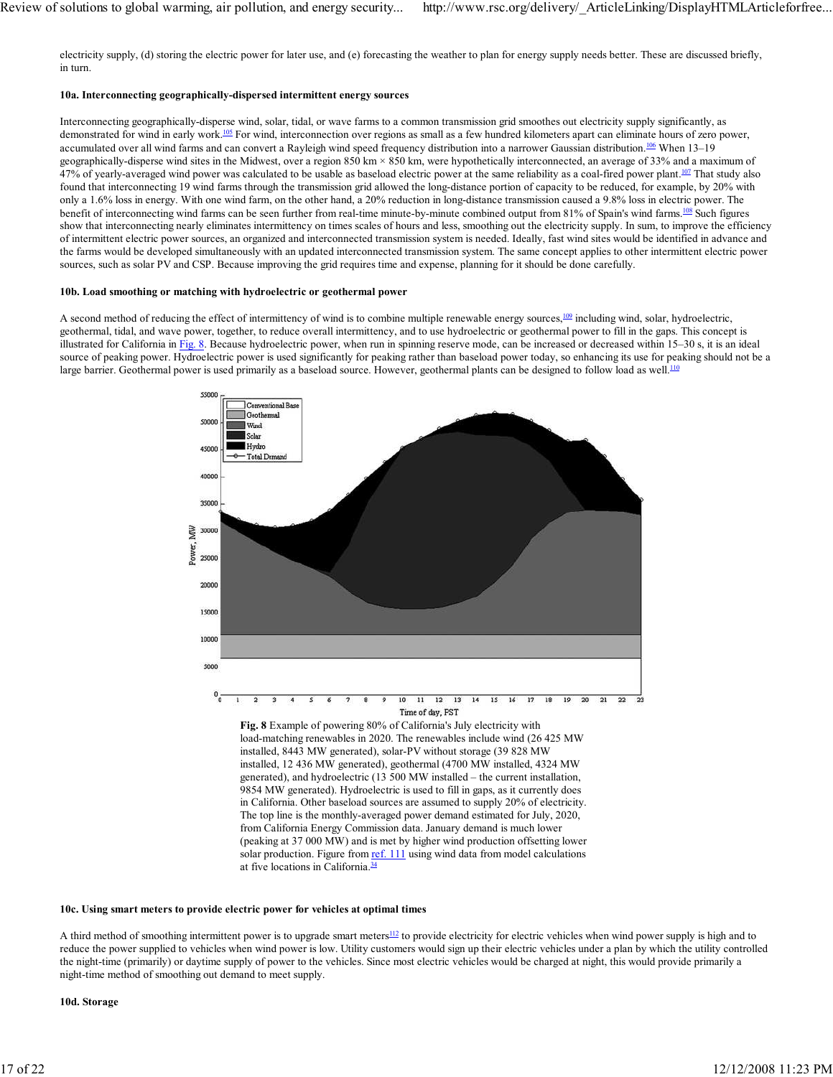electricity supply, (d) storing the electric power for later use, and (e) forecasting the weather to plan for energy supply needs better. These are discussed briefly, in turn.

# **10a. Interconnecting geographically-dispersed intermittent energy sources**

Interconnecting geographically-disperse wind, solar, tidal, or wave farms to a common transmission grid smoothes out electricity supply significantly, as demonstrated for wind in early work.<sup>105</sup> For wind, interconnection over regions as small as a few hundred kilometers apart can eliminate hours of zero power, accumulated over all wind farms and can convert a Rayleigh wind speed frequency distribution into a narrower Gaussian distribution.<sup>106</sup> When 13-19 geographically-disperse wind sites in the Midwest, over a region 850 km × 850 km, were hypothetically interconnected, an average of 33% and a maximum of 47% of yearly-averaged wind power was calculated to be usable as baseload electric power at the same reliability as a coal-fired power plant.<sup>107</sup> That study also found that interconnecting 19 wind farms through the transmission grid allowed the long-distance portion of capacity to be reduced, for example, by 20% with only a 1.6% loss in energy. With one wind farm, on the other hand, a 20% reduction in long-distance transmission caused a 9.8% loss in electric power. The benefit of interconnecting wind farms can be seen further from real-time minute-by-minute combined output from 81% of Spain's wind farms.<sup>108</sup> Such figures show that interconnecting nearly eliminates intermittency on times scales of hours and less, smoothing out the electricity supply. In sum, to improve the efficiency of intermittent electric power sources, an organized and interconnected transmission system is needed. Ideally, fast wind sites would be identified in advance and the farms would be developed simultaneously with an updated interconnected transmission system. The same concept applies to other intermittent electric power sources, such as solar PV and CSP. Because improving the grid requires time and expense, planning for it should be done carefully.

# **10b. Load smoothing or matching with hydroelectric or geothermal power**

A second method of reducing the effect of intermittency of wind is to combine multiple renewable energy sources,<sup>109</sup> including wind, solar, hydroelectric, geothermal, tidal, and wave power, together, to reduce overall intermittency, and to use hydroelectric or geothermal power to fill in the gaps. This concept is illustrated for California in Fig. 8. Because hydroelectric power, when run in spinning reserve mode, can be increased or decreased within 15–30 s, it is an ideal source of peaking power. Hydroelectric power is used significantly for peaking rather than baseload power today, so enhancing its use for peaking should not be a large barrier. Geothermal power is used primarily as a baseload source. However, geothermal plants can be designed to follow load as well.<sup>110</sup>



at five locations in California.<sup>34</sup>

# **10c. Using smart meters to provide electric power for vehicles at optimal times**

A third method of smoothing intermittent power is to upgrade smart meters<sup>112</sup> to provide electricity for electric vehicles when wind power supply is high and to reduce the power supplied to vehicles when wind power is low. Utility customers would sign up their electric vehicles under a plan by which the utility controlled the night-time (primarily) or daytime supply of power to the vehicles. Since most electric vehicles would be charged at night, this would provide primarily a night-time method of smoothing out demand to meet supply.

**10d. Storage**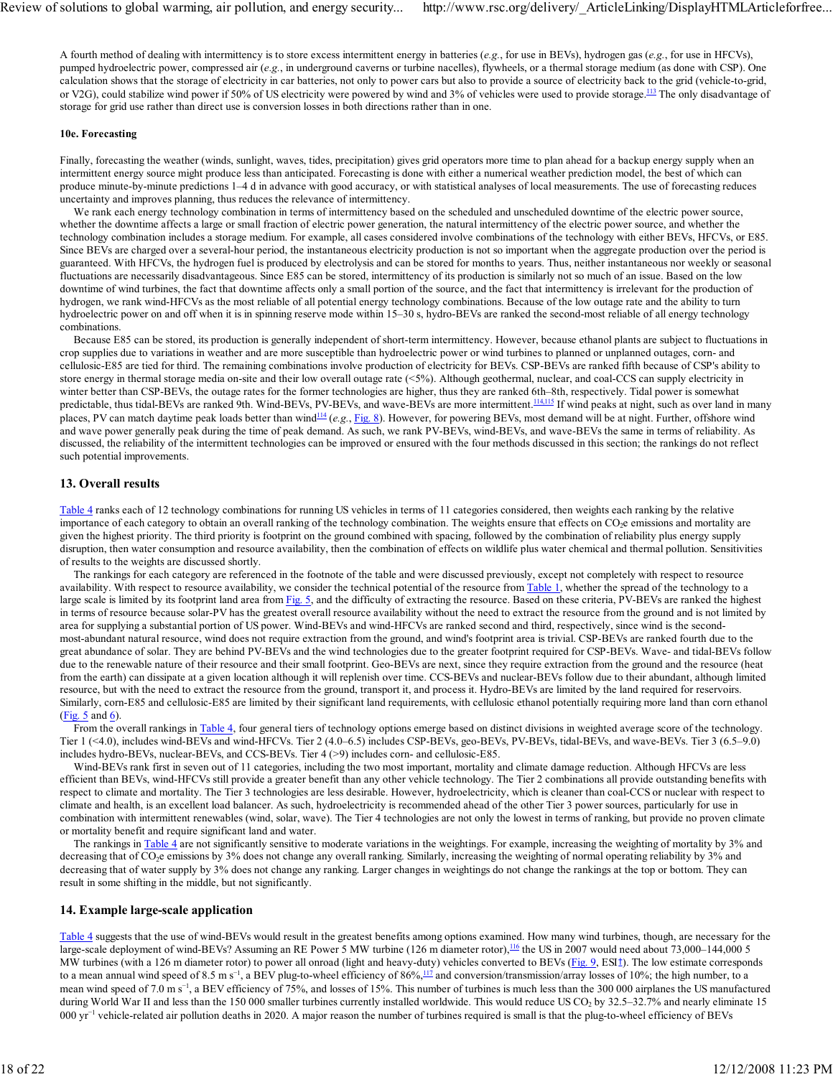A fourth method of dealing with intermittency is to store excess intermittent energy in batteries (*e.g.*, for use in BEVs), hydrogen gas (*e.g.*, for use in HFCVs), pumped hydroelectric power, compressed air (*e.g.*, in underground caverns or turbine nacelles), flywheels, or a thermal storage medium (as done with CSP). One calculation shows that the storage of electricity in car batteries, not only to power cars but also to provide a source of electricity back to the grid (vehicle-to-grid, or V2G), could stabilize wind power if 50% of US electricity were powered by wind and 3% of vehicles were used to provide storage.<sup>113</sup> The only disadvantage of storage for grid use rather than direct use is conversion losses in both directions rather than in one.

# **10e. Forecasting**

Finally, forecasting the weather (winds, sunlight, waves, tides, precipitation) gives grid operators more time to plan ahead for a backup energy supply when an intermittent energy source might produce less than anticipated. Forecasting is done with either a numerical weather prediction model, the best of which can produce minute-by-minute predictions 1–4 d in advance with good accuracy, or with statistical analyses of local measurements. The use of forecasting reduces uncertainty and improves planning, thus reduces the relevance of intermittency.

We rank each energy technology combination in terms of intermittency based on the scheduled and unscheduled downtime of the electric power source, whether the downtime affects a large or small fraction of electric power generation, the natural intermittency of the electric power source, and whether the technology combination includes a storage medium. For example, all cases considered involve combinations of the technology with either BEVs, HFCVs, or E85. Since BEVs are charged over a several-hour period, the instantaneous electricity production is not so important when the aggregate production over the period is guaranteed. With HFCVs, the hydrogen fuel is produced by electrolysis and can be stored for months to years. Thus, neither instantaneous nor weekly or seasonal fluctuations are necessarily disadvantageous. Since E85 can be stored, intermittency of its production is similarly not so much of an issue. Based on the low downtime of wind turbines, the fact that downtime affects only a small portion of the source, and the fact that intermittency is irrelevant for the production of hydrogen, we rank wind-HFCVs as the most reliable of all potential energy technology combinations. Because of the low outage rate and the ability to turn hydroelectric power on and off when it is in spinning reserve mode within 15–30 s, hydro-BEVs are ranked the second-most reliable of all energy technology combinations.

Because E85 can be stored, its production is generally independent of short-term intermittency. However, because ethanol plants are subject to fluctuations in crop supplies due to variations in weather and are more susceptible than hydroelectric power or wind turbines to planned or unplanned outages, corn- and cellulosic-E85 are tied for third. The remaining combinations involve production of electricity for BEVs. CSP-BEVs are ranked fifth because of CSP's ability to store energy in thermal storage media on-site and their low overall outage rate (<5%). Although geothermal, nuclear, and coal-CCS can supply electricity in winter better than CSP-BEVs, the outage rates for the former technologies are higher, thus they are ranked 6th–8th, respectively. Tidal power is somewhat predictable, thus tidal-BEVs are ranked 9th. Wind-BEVs, PV-BEVs, and wave-BEVs are more intermittent.<sup>114,115</sup> If wind peaks at night, such as over land in many places, PV can match daytime peak loads better than wind<sup>114</sup> (e.g., Fig. 8). However, for powering BEVs, most demand will be at night. Further, offshore wind and wave power generally peak during the time of peak demand. As such, we rank PV-BEVs, wind-BEVs, and wave-BEVs the same in terms of reliability. As discussed, the reliability of the intermittent technologies can be improved or ensured with the four methods discussed in this section; the rankings do not reflect such potential improvements.

# **13. Overall results**

Table 4 ranks each of 12 technology combinations for running US vehicles in terms of 11 categories considered, then weights each ranking by the relative importance of each category to obtain an overall ranking of the technology combination. The weights ensure that effects on CO<sub>2</sub>e emissions and mortality are given the highest priority. The third priority is footprint on the ground combined with spacing, followed by the combination of reliability plus energy supply disruption, then water consumption and resource availability, then the combination of effects on wildlife plus water chemical and thermal pollution. Sensitivities of results to the weights are discussed shortly.

The rankings for each category are referenced in the footnote of the table and were discussed previously, except not completely with respect to resource availability. With respect to resource availability, we consider the technical potential of the resource from Table 1, whether the spread of the technology to a large scale is limited by its footprint land area from Fig. 5, and the difficulty of extracting the resource. Based on these criteria, PV-BEVs are ranked the highest in terms of resource because solar-PV has the greatest overall resource availability without the need to extract the resource from the ground and is not limited by area for supplying a substantial portion of US power. Wind-BEVs and wind-HFCVs are ranked second and third, respectively, since wind is the secondmost-abundant natural resource, wind does not require extraction from the ground, and wind's footprint area is trivial. CSP-BEVs are ranked fourth due to the great abundance of solar. They are behind PV-BEVs and the wind technologies due to the greater footprint required for CSP-BEVs. Wave- and tidal-BEVs follow due to the renewable nature of their resource and their small footprint. Geo-BEVs are next, since they require extraction from the ground and the resource (heat from the earth) can dissipate at a given location although it will replenish over time. CCS-BEVs and nuclear-BEVs follow due to their abundant, although limited resource, but with the need to extract the resource from the ground, transport it, and process it. Hydro-BEVs are limited by the land required for reservoirs. Similarly, corn-E85 and cellulosic-E85 are limited by their significant land requirements, with cellulosic ethanol potentially requiring more land than corn ethanol (Fig.  $5$  and  $6$ ).

From the overall rankings in Table 4, four general tiers of technology options emerge based on distinct divisions in weighted average score of the technology. Tier 1 (<4.0), includes wind-BEVs and wind-HFCVs. Tier 2 (4.0–6.5) includes CSP-BEVs, geo-BEVs, PV-BEVs, tidal-BEVs, and wave-BEVs. Tier 3 (6.5–9.0) includes hydro-BEVs, nuclear-BEVs, and CCS-BEVs. Tier 4 (>9) includes corn- and cellulosic-E85.

Wind-BEVs rank first in seven out of 11 categories, including the two most important, mortality and climate damage reduction. Although HFCVs are less efficient than BEVs, wind-HFCVs still provide a greater benefit than any other vehicle technology. The Tier 2 combinations all provide outstanding benefits with respect to climate and mortality. The Tier 3 technologies are less desirable. However, hydroelectricity, which is cleaner than coal-CCS or nuclear with respect to climate and health, is an excellent load balancer. As such, hydroelectricity is recommended ahead of the other Tier 3 power sources, particularly for use in combination with intermittent renewables (wind, solar, wave). The Tier 4 technologies are not only the lowest in terms of ranking, but provide no proven climate or mortality benefit and require significant land and water.

The rankings in Table 4 are not significantly sensitive to moderate variations in the weightings. For example, increasing the weighting of mortality by 3% and decreasing that of CO2e emissions by 3% does not change any overall ranking. Similarly, increasing the weighting of normal operating reliability by 3% and decreasing that of water supply by 3% does not change any ranking. Larger changes in weightings do not change the rankings at the top or bottom. They can result in some shifting in the middle, but not significantly.

# **14. Example large-scale application**

Table 4 suggests that the use of wind-BEVs would result in the greatest benefits among options examined. How many wind turbines, though, are necessary for the large-scale deployment of wind-BEVs? Assuming an RE Power 5 MW turbine (126 m diameter rotor),<sup>116</sup> the US in 2007 would need about 73,000-144,000 5 MW turbines (with a 126 m diameter rotor) to power all onroad (light and heavy-duty) vehicles converted to BEVs (Fig. 9, ESI1). The low estimate corresponds to a mean annual wind speed of 8.5 m s<sup>-1</sup>, a BEV plug-to-wheel efficiency of 86%,<sup>117</sup> and conversion/transmission/array losses of 10%; the high number, to a mean wind speed of 7.0 m s<sup>-1</sup>, a BEV efficiency of 75%, and losses of 15%. This number of turbines is much less than the 300 000 airplanes the US manufactured during World War II and less than the 150 000 smaller turbines currently installed worldwide. This would reduce US CO<sub>2</sub> by 32.5–32.7% and nearly eliminate 15 000 yr−1 vehicle-related air pollution deaths in 2020. A major reason the number of turbines required is small is that the plug-to-wheel efficiency of BEVs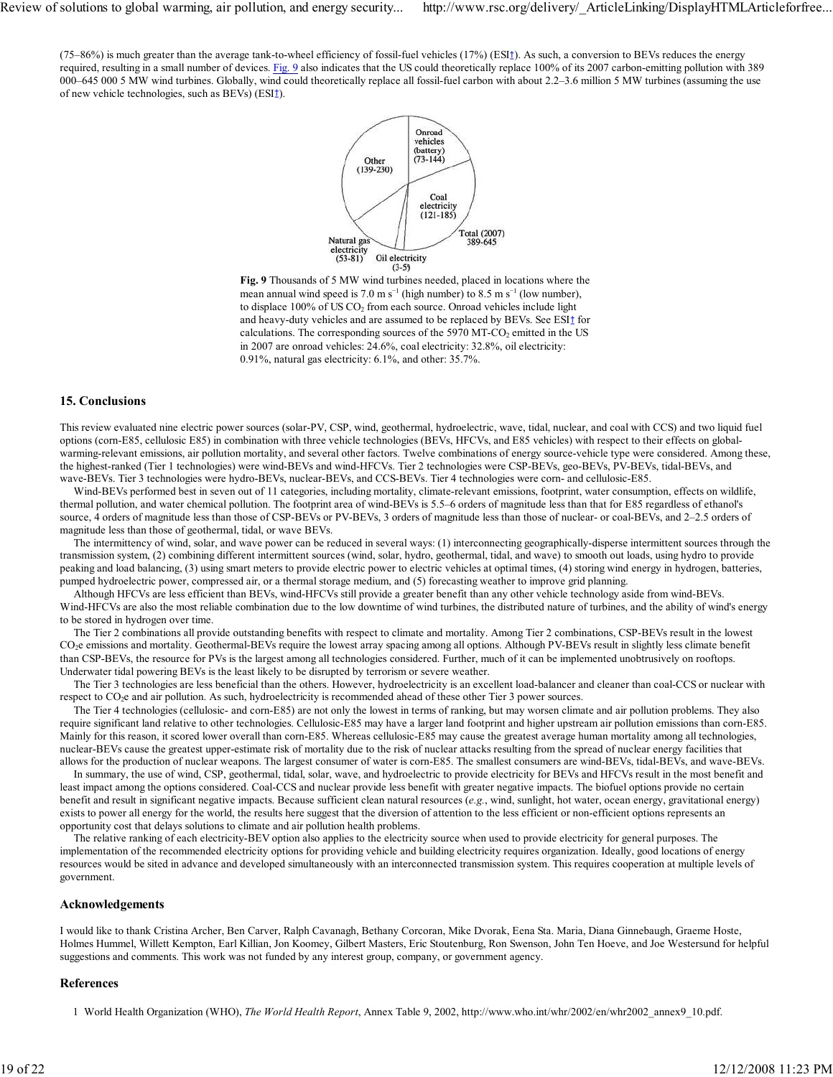(75–86%) is much greater than the average tank-to-wheel efficiency of fossil-fuel vehicles (17%) (ESI ). As such, a conversion to BEVs reduces the energy required, resulting in a small number of devices. Fig. 9 also indicates that the US could theoretically replace 100% of its 2007 carbon-emitting pollution with 389 000–645 000 5 MW wind turbines. Globally, wind could theoretically replace all fossil-fuel carbon with about 2.2–3.6 million 5 MW turbines (assuming the use of new vehicle technologies, such as  $BEVs$ ) ( $ESI_1^{\dagger}$ ).



**Fig. 9** Thousands of 5 MW wind turbines needed, placed in locations where the mean annual wind speed is 7.0 m s<sup>-1</sup> (high number) to 8.5 m s<sup>-1</sup> (low number), to displace 100% of US CO<sub>2</sub> from each source. Onroad vehicles include light and heavy-duty vehicles and are assumed to be replaced by BEVs. See ESI<sup>†</sup> for calculations. The corresponding sources of the  $5970$  MT-CO<sub>2</sub> emitted in the US in 2007 are onroad vehicles: 24.6%, coal electricity: 32.8%, oil electricity: 0.91%, natural gas electricity: 6.1%, and other: 35.7%.

# **15. Conclusions**

This review evaluated nine electric power sources (solar-PV, CSP, wind, geothermal, hydroelectric, wave, tidal, nuclear, and coal with CCS) and two liquid fuel options (corn-E85, cellulosic E85) in combination with three vehicle technologies (BEVs, HFCVs, and E85 vehicles) with respect to their effects on globalwarming-relevant emissions, air pollution mortality, and several other factors. Twelve combinations of energy source-vehicle type were considered. Among these, the highest-ranked (Tier 1 technologies) were wind-BEVs and wind-HFCVs. Tier 2 technologies were CSP-BEVs, geo-BEVs, PV-BEVs, tidal-BEVs, and wave-BEVs. Tier 3 technologies were hydro-BEVs, nuclear-BEVs, and CCS-BEVs. Tier 4 technologies were corn- and cellulosic-E85.

Wind-BEVs performed best in seven out of 11 categories, including mortality, climate-relevant emissions, footprint, water consumption, effects on wildlife, thermal pollution, and water chemical pollution. The footprint area of wind-BEVs is 5.5–6 orders of magnitude less than that for E85 regardless of ethanol's source, 4 orders of magnitude less than those of CSP-BEVs or PV-BEVs, 3 orders of magnitude less than those of nuclear- or coal-BEVs, and 2-2.5 orders of magnitude less than those of geothermal, tidal, or wave BEVs.

The intermittency of wind, solar, and wave power can be reduced in several ways: (1) interconnecting geographically-disperse intermittent sources through the transmission system, (2) combining different intermittent sources (wind, solar, hydro, geothermal, tidal, and wave) to smooth out loads, using hydro to provide peaking and load balancing, (3) using smart meters to provide electric power to electric vehicles at optimal times, (4) storing wind energy in hydrogen, batteries, pumped hydroelectric power, compressed air, or a thermal storage medium, and (5) forecasting weather to improve grid planning.

Although HFCVs are less efficient than BEVs, wind-HFCVs still provide a greater benefit than any other vehicle technology aside from wind-BEVs. Wind-HFCVs are also the most reliable combination due to the low downtime of wind turbines, the distributed nature of turbines, and the ability of wind's energy to be stored in hydrogen over time.

The Tier 2 combinations all provide outstanding benefits with respect to climate and mortality. Among Tier 2 combinations, CSP-BEVs result in the lowest CO2e emissions and mortality. Geothermal-BEVs require the lowest array spacing among all options. Although PV-BEVs result in slightly less climate benefit than CSP-BEVs, the resource for PVs is the largest among all technologies considered. Further, much of it can be implemented unobtrusively on rooftops. Underwater tidal powering BEVs is the least likely to be disrupted by terrorism or severe weather.

The Tier 3 technologies are less beneficial than the others. However, hydroelectricity is an excellent load-balancer and cleaner than coal-CCS or nuclear with respect to CO2e and air pollution. As such, hydroelectricity is recommended ahead of these other Tier 3 power sources.

The Tier 4 technologies (cellulosic- and corn-E85) are not only the lowest in terms of ranking, but may worsen climate and air pollution problems. They also require significant land relative to other technologies. Cellulosic-E85 may have a larger land footprint and higher upstream air pollution emissions than corn-E85. Mainly for this reason, it scored lower overall than corn-E85. Whereas cellulosic-E85 may cause the greatest average human mortality among all technologies, nuclear-BEVs cause the greatest upper-estimate risk of mortality due to the risk of nuclear attacks resulting from the spread of nuclear energy facilities that allows for the production of nuclear weapons. The largest consumer of water is corn-E85. The smallest consumers are wind-BEVs, tidal-BEVs, and wave-BEVs.

In summary, the use of wind, CSP, geothermal, tidal, solar, wave, and hydroelectric to provide electricity for BEVs and HFCVs result in the most benefit and least impact among the options considered. Coal-CCS and nuclear provide less benefit with greater negative impacts. The biofuel options provide no certain benefit and result in significant negative impacts. Because sufficient clean natural resources (*e.g.*, wind, sunlight, hot water, ocean energy, gravitational energy) exists to power all energy for the world, the results here suggest that the diversion of attention to the less efficient or non-efficient options represents an opportunity cost that delays solutions to climate and air pollution health problems.

The relative ranking of each electricity-BEV option also applies to the electricity source when used to provide electricity for general purposes. The implementation of the recommended electricity options for providing vehicle and building electricity requires organization. Ideally, good locations of energy resources would be sited in advance and developed simultaneously with an interconnected transmission system. This requires cooperation at multiple levels of government.

#### **Acknowledgements**

I would like to thank Cristina Archer, Ben Carver, Ralph Cavanagh, Bethany Corcoran, Mike Dvorak, Eena Sta. Maria, Diana Ginnebaugh, Graeme Hoste, Holmes Hummel, Willett Kempton, Earl Killian, Jon Koomey, Gilbert Masters, Eric Stoutenburg, Ron Swenson, John Ten Hoeve, and Joe Westersund for helpful suggestions and comments. This work was not funded by any interest group, company, or government agency.

#### **References**

<sup>1</sup> World Health Organization (WHO), *The World Health Report*, Annex Table 9, 2002, http://www.who.int/whr/2002/en/whr2002\_annex9\_10.pdf.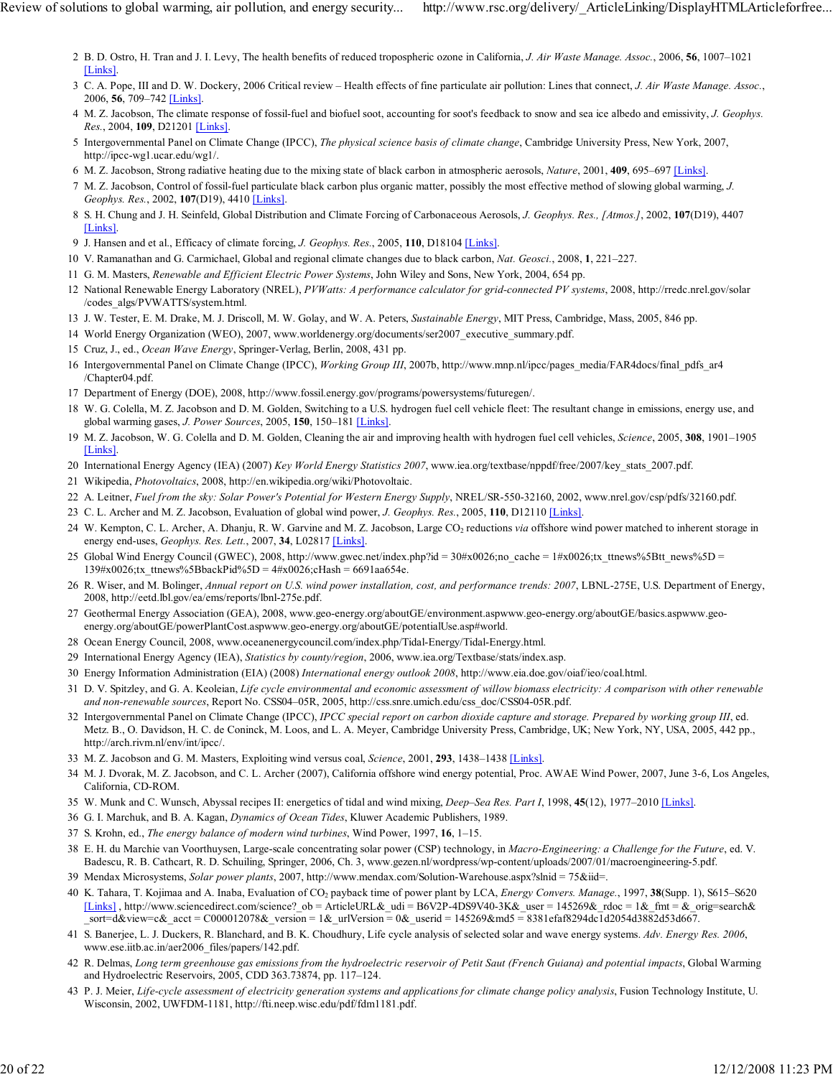Review of solutions to global warming, air pollution, and energy security... http://www.rsc.org/delivery/\_ArticleLinking/DisplayHTMLArticleforfree...

- 2 B. D. Ostro, H. Tran and J. I. Levy, The health benefits of reduced tropospheric ozone in California, *J. Air Waste Manage. Assoc.*, 2006, **56**, 1007–1021 [Links]
- 3 C. A. Pope, III and D. W. Dockery, 2006 Critical review Health effects of fine particulate air pollution: Lines that connect, *J. Air Waste Manage. Assoc.*, 2006, **56**, 709–742 [Links].
- 4 M. Z. Jacobson, The climate response of fossil-fuel and biofuel soot, accounting for soot's feedback to snow and sea ice albedo and emissivity, *J. Geophys. Res.*, 2004, **109**, D21201 [Links].
- 5 Intergovernmental Panel on Climate Change (IPCC), *The physical science basis of climate change*, Cambridge University Press, New York, 2007, http://ipcc-wg1.ucar.edu/wg1/.
- 6 M. Z. Jacobson, Strong radiative heating due to the mixing state of black carbon in atmospheric aerosols, *Nature*, 2001, **409**, 695–697 [Links].
- 7 M. Z. Jacobson, Control of fossil-fuel particulate black carbon plus organic matter, possibly the most effective method of slowing global warming, *J. Geophys. Res.*, 2002, **107**(D19), 4410 [Links].
- 8 S. H. Chung and J. H. Seinfeld, Global Distribution and Climate Forcing of Carbonaceous Aerosols, *J. Geophys. Res., [Atmos.]*, 2002, **107**(D19), 4407 [Links]
- 9 J. Hansen and et al., Efficacy of climate forcing, *J. Geophys. Res.*, 2005, **110**, D18104 [Links].
- 10 V. Ramanathan and G. Carmichael, Global and regional climate changes due to black carbon, *Nat. Geosci.*, 2008, **1**, 221–227.
- 11 G. M. Masters, *Renewable and Efficient Electric Power Systems*, John Wiley and Sons, New York, 2004, 654 pp.
- 12 National Renewable Energy Laboratory (NREL), *PVWatts: A performance calculator for grid-connected PV systems*, 2008, http://rredc.nrel.gov/solar /codes\_algs/PVWATTS/system.html.
- 13 J. W. Tester, E. M. Drake, M. J. Driscoll, M. W. Golay, and W. A. Peters, *Sustainable Energy*, MIT Press, Cambridge, Mass, 2005, 846 pp.
- 14 World Energy Organization (WEO), 2007, www.worldenergy.org/documents/ser2007\_executive\_summary.pdf.
- 15 Cruz, J., ed., *Ocean Wave Energy*, Springer-Verlag, Berlin, 2008, 431 pp.
- 16 Intergovernmental Panel on Climate Change (IPCC), *Working Group III*, 2007b, http://www.mnp.nl/ipcc/pages\_media/FAR4docs/final\_pdfs\_ar4 /Chapter04.pdf.
- 17 Department of Energy (DOE), 2008, http://www.fossil.energy.gov/programs/powersystems/futuregen/.
- 18 W. G. Colella, M. Z. Jacobson and D. M. Golden, Switching to a U.S. hydrogen fuel cell vehicle fleet: The resultant change in emissions, energy use, and global warming gases, *J. Power Sources*, 2005, **150**, 150–181 [Links].
- 19 M. Z. Jacobson, W. G. Colella and D. M. Golden, Cleaning the air and improving health with hydrogen fuel cell vehicles, *Science*, 2005, **308**, 1901–1905 [Links]
- 20 International Energy Agency (IEA) (2007) *Key World Energy Statistics 2007*, www.iea.org/textbase/nppdf/free/2007/key\_stats\_2007.pdf.
- 21 Wikipedia, *Photovoltaics*, 2008, http://en.wikipedia.org/wiki/Photovoltaic.
- 22 A. Leitner, *Fuel from the sky: Solar Power's Potential for Western Energy Supply*, NREL/SR-550-32160, 2002, www.nrel.gov/csp/pdfs/32160.pdf.
- 23 C. L. Archer and M. Z. Jacobson, Evaluation of global wind power, *J. Geophys. Res.*, 2005, **110**, D12110 [Links].
- 24 W. Kempton, C. L. Archer, A. Dhanju, R. W. Garvine and M. Z. Jacobson, Large CO<sub>2</sub> reductions *via* offshore wind power matched to inherent storage in energy end-uses, *Geophys. Res. Lett.*, 2007, **34**, L02817 [Links].
- 25 Global Wind Energy Council (GWEC), 2008, http://www.gwec.net/index.php?id = 30#x0026;no\_cache = 1#x0026;tx\_ttnews%5Btt\_news%5D = 139#x0026;tx\_ttnews%5BbackPid%5D = 4#x0026;cHash = 6691aa654e.
- 26 R. Wiser, and M. Bolinger, *Annual report on U.S. wind power installation, cost, and performance trends: 2007*, LBNL-275E, U.S. Department of Energy, 2008, http://eetd.lbl.gov/ea/ems/reports/lbnl-275e.pdf.
- 27 Geothermal Energy Association (GEA), 2008, www.geo-energy.org/aboutGE/environment.aspwww.geo-energy.org/aboutGE/basics.aspwww.geoenergy.org/aboutGE/powerPlantCost.aspwww.geo-energy.org/aboutGE/potentialUse.asp#world.
- 28 Ocean Energy Council, 2008, www.oceanenergycouncil.com/index.php/Tidal-Energy/Tidal-Energy.html.
- 29 International Energy Agency (IEA), *Statistics by county/region*, 2006, www.iea.org/Textbase/stats/index.asp.
- 30 Energy Information Administration (EIA) (2008) *International energy outlook 2008*, http://www.eia.doe.gov/oiaf/ieo/coal.html.
- 31 D. V. Spitzley, and G. A. Keoleian, *Life cycle environmental and economic assessment of willow biomass electricity: A comparison with other renewable and non-renewable sources*, Report No. CSS04–05R, 2005, http://css.snre.umich.edu/css\_doc/CSS04-05R.pdf.
- 32 Intergovernmental Panel on Climate Change (IPCC), *IPCC special report on carbon dioxide capture and storage. Prepared by working group III*, ed. Metz. B., O. Davidson, H. C. de Coninck, M. Loos, and L. A. Meyer, Cambridge University Press, Cambridge, UK; New York, NY, USA, 2005, 442 pp., http://arch.rivm.nl/env/int/ipcc/.
- 33 M. Z. Jacobson and G. M. Masters, Exploiting wind versus coal, *Science*, 2001, **293**, 1438–1438 [Links].
- 34 M. J. Dvorak, M. Z. Jacobson, and C. L. Archer (2007), California offshore wind energy potential, Proc. AWAE Wind Power, 2007, June 3-6, Los Angeles, California, CD-ROM.
- 35 W. Munk and C. Wunsch, Abyssal recipes II: energetics of tidal and wind mixing, *Deep–Sea Res. Part I*, 1998, **45**(12), 1977–2010 [Links].
- 36 G. I. Marchuk, and B. A. Kagan, *Dynamics of Ocean Tides*, Kluwer Academic Publishers, 1989.
- 37 S. Krohn, ed., *The energy balance of modern wind turbines*, Wind Power, 1997, **16**, 1–15.
- 38 E. H. du Marchie van Voorthuysen, Large-scale concentrating solar power (CSP) technology, in *Macro-Engineering: a Challenge for the Future*, ed. V. Badescu, R. B. Cathcart, R. D. Schuiling, Springer, 2006, Ch. 3, www.gezen.nl/wordpress/wp-content/uploads/2007/01/macroengineering-5.pdf.
- 39 Mendax Microsystems, *Solar power plants*, 2007, http://www.mendax.com/Solution-Warehouse.aspx?slnid = 75&iid=.
- 40 K. Tahara, T. Kojimaa and A. Inaba, Evaluation of CO<sub>2</sub> payback time of power plant by LCA, *Energy Convers. Manage.*, 1997, 38(Supp. 1), S615–S620 [Links], http://www.sciencedirect.com/science?\_ob = ArticleURL&\_udi = B6V2P-4DS9V40-3K&\_user = 145269&\_rdoc = 1&\_fmt = &\_orig=search&  $sort=dd$ view=c $\&$  acct = C000012078 $\&$  version = 1 $\&$  urlVersion = 0 $\&$  userid = 145269 $\&$ md5 = 8381efaf8294dc1d2054d3882d53d667.
- 41 S. Banerjee, L. J. Duckers, R. Blanchard, and B. K. Choudhury, Life cycle analysis of selected solar and wave energy systems. *Adv. Energy Res. 2006*, www.ese.iitb.ac.in/aer2006\_files/papers/142.pdf.
- 42 R. Delmas, *Long term greenhouse gas emissions from the hydroelectric reservoir of Petit Saut (French Guiana) and potential impacts*, Global Warming and Hydroelectric Reservoirs, 2005, CDD 363.73874, pp. 117–124.
- 43 P. J. Meier, *Life-cycle assessment of electricity generation systems and applications for climate change policy analysis*, Fusion Technology Institute, U. Wisconsin, 2002, UWFDM-1181, http://fti.neep.wisc.edu/pdf/fdm1181.pdf.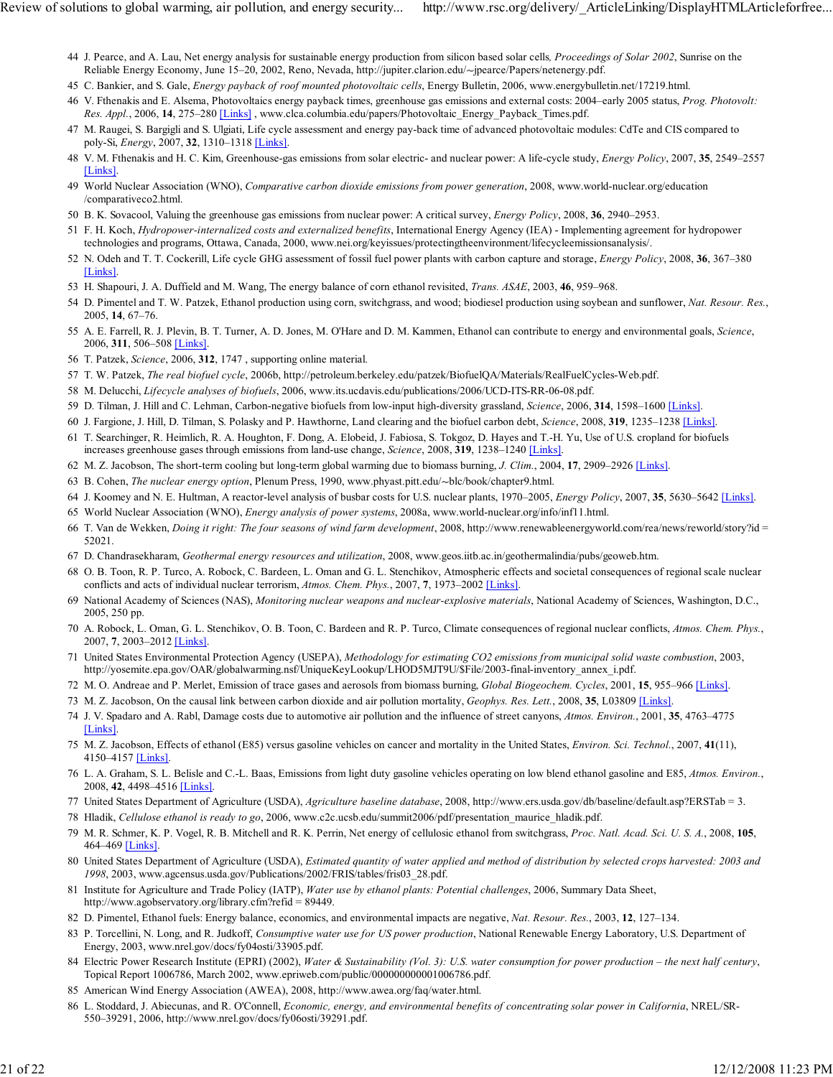- 44 J. Pearce, and A. Lau, Net energy analysis for sustainable energy production from silicon based solar cells*, Proceedings of Solar 2002*, Sunrise on the Reliable Energy Economy, June 15–20, 2002, Reno, Nevada, http://jupiter.clarion.edu/ jpearce/Papers/netenergy.pdf.
- 45 C. Bankier, and S. Gale, *Energy payback of roof mounted photovoltaic cells*, Energy Bulletin, 2006, www.energybulletin.net/17219.html.
- 46 V. Fthenakis and E. Alsema, Photovoltaics energy payback times, greenhouse gas emissions and external costs: 2004–early 2005 status, *Prog. Photovolt: Res. Appl.*, 2006, **14**, 275–280 [Links] , www.clca.columbia.edu/papers/Photovoltaic\_Energy\_Payback\_Times.pdf.
- 47 M. Raugei, S. Bargigli and S. Ulgiati, Life cycle assessment and energy pay-back time of advanced photovoltaic modules: CdTe and CIS compared to poly-Si, *Energy*, 2007, **32**, 1310–1318 [Links].
- 48 V. M. Fthenakis and H. C. Kim, Greenhouse-gas emissions from solar electric- and nuclear power: A life-cycle study, *Energy Policy*, 2007, **35**, 2549–2557 [Links]
- 49 World Nuclear Association (WNO), *Comparative carbon dioxide emissions from power generation*, 2008, www.world-nuclear.org/education /comparativeco2.html.
- 50 B. K. Sovacool, Valuing the greenhouse gas emissions from nuclear power: A critical survey, *Energy Policy*, 2008, **36**, 2940–2953.
- 51 F. H. Koch, *Hydropower-internalized costs and externalized benefits*, International Energy Agency (IEA) Implementing agreement for hydropower technologies and programs, Ottawa, Canada, 2000, www.nei.org/keyissues/protectingtheenvironment/lifecycleemissionsanalysis/.
- 52 N. Odeh and T. T. Cockerill, Life cycle GHG assessment of fossil fuel power plants with carbon capture and storage, *Energy Policy*, 2008, **36**, 367–380 [Links]
- 53 H. Shapouri, J. A. Duffield and M. Wang, The energy balance of corn ethanol revisited, *Trans. ASAE*, 2003, **46**, 959–968.
- 54 D. Pimentel and T. W. Patzek, Ethanol production using corn, switchgrass, and wood; biodiesel production using soybean and sunflower, *Nat. Resour. Res.*, 2005, **14**, 67–76.
- 55 A. E. Farrell, R. J. Plevin, B. T. Turner, A. D. Jones, M. O'Hare and D. M. Kammen, Ethanol can contribute to energy and environmental goals, *Science*, 2006, **311**, 506–508 [Links].
- 56 T. Patzek, *Science*, 2006, **312**, 1747 , supporting online material.
- 57 T. W. Patzek, *The real biofuel cycle*, 2006b, http://petroleum.berkeley.edu/patzek/BiofuelQA/Materials/RealFuelCycles-Web.pdf.
- 58 M. Delucchi, *Lifecycle analyses of biofuels*, 2006, www.its.ucdavis.edu/publications/2006/UCD-ITS-RR-06-08.pdf.
- 59 D. Tilman, J. Hill and C. Lehman, Carbon-negative biofuels from low-input high-diversity grassland, *Science*, 2006, **314**, 1598–1600 [Links].
- 60 J. Fargione, J. Hill, D. Tilman, S. Polasky and P. Hawthorne, Land clearing and the biofuel carbon debt, *Science*, 2008, **319**, 1235–1238 [Links].
- 61 T. Searchinger, R. Heimlich, R. A. Houghton, F. Dong, A. Elobeid, J. Fabiosa, S. Tokgoz, D. Hayes and T.-H. Yu, Use of U.S. cropland for biofuels increases greenhouse gases through emissions from land-use change, *Science*, 2008, **319**, 1238–1240 [Links].
- 62 M. Z. Jacobson, The short-term cooling but long-term global warming due to biomass burning, *J. Clim.*, 2004, **17**, 2909–2926 [Links].
- 63 B. Cohen, *The nuclear energy option*, Plenum Press, 1990, www.phyast.pitt.edu/ blc/book/chapter9.html.
- 64 J. Koomey and N. E. Hultman, A reactor-level analysis of busbar costs for U.S. nuclear plants, 1970–2005, *Energy Policy*, 2007, **35**, 5630–5642 [Links].
- 65 World Nuclear Association (WNO), *Energy analysis of power systems*, 2008a, www.world-nuclear.org/info/inf11.html.
- 66 T. Van de Wekken, *Doing it right: The four seasons of wind farm development*, 2008, http://www.renewableenergyworld.com/rea/news/reworld/story?id = 52021.
- 67 D. Chandrasekharam, *Geothermal energy resources and utilization*, 2008, www.geos.iitb.ac.in/geothermalindia/pubs/geoweb.htm.
- 68 O. B. Toon, R. P. Turco, A. Robock, C. Bardeen, L. Oman and G. L. Stenchikov, Atmospheric effects and societal consequences of regional scale nuclear conflicts and acts of individual nuclear terrorism, *Atmos. Chem. Phys.*, 2007, **7**, 1973–2002 [Links].
- 69 National Academy of Sciences (NAS), *Monitoring nuclear weapons and nuclear-explosive materials*, National Academy of Sciences, Washington, D.C., 2005, 250 pp.
- 70 A. Robock, L. Oman, G. L. Stenchikov, O. B. Toon, C. Bardeen and R. P. Turco, Climate consequences of regional nuclear conflicts, *Atmos. Chem. Phys.*, 2007, **7**, 2003–2012 [Links].
- 71 United States Environmental Protection Agency (USEPA), *Methodology for estimating CO2 emissions from municipal solid waste combustion*, 2003, http://yosemite.epa.gov/OAR/globalwarming.nsf/UniqueKeyLookup/LHOD5MJT9U/\$File/2003-final-inventory\_annex\_i.pdf.
- 72 M. O. Andreae and P. Merlet, Emission of trace gases and aerosols from biomass burning, *Global Biogeochem. Cycles*, 2001, **15**, 955–966 [Links].
- 73 M. Z. Jacobson, On the causal link between carbon dioxide and air pollution mortality, *Geophys. Res. Lett.*, 2008, **35**, L03809 [Links].
- 74 J. V. Spadaro and A. Rabl, Damage costs due to automotive air pollution and the influence of street canyons, *Atmos. Environ.*, 2001, **35**, 4763–4775 [Links]
- 75 M. Z. Jacobson, Effects of ethanol (E85) versus gasoline vehicles on cancer and mortality in the United States, *Environ. Sci. Technol.*, 2007, **41**(11), 4150–4157 [Links].
- 76 L. A. Graham, S. L. Belisle and C.-L. Baas, Emissions from light duty gasoline vehicles operating on low blend ethanol gasoline and E85, *Atmos. Environ.*, 2008, **42**, 4498–4516 [Links].
- 77 United States Department of Agriculture (USDA), *Agriculture baseline database*, 2008, http://www.ers.usda.gov/db/baseline/default.asp?ERSTab = 3.
- 78 Hladik, *Cellulose ethanol is ready to go*, 2006, www.c2c.ucsb.edu/summit2006/pdf/presentation\_maurice\_hladik.pdf.
- 79 M. R. Schmer, K. P. Vogel, R. B. Mitchell and R. K. Perrin, Net energy of cellulosic ethanol from switchgrass, *Proc. Natl. Acad. Sci. U. S. A.*, 2008, **105**, 464–469 [Links].
- 80 United States Department of Agriculture (USDA), *Estimated quantity of water applied and method of distribution by selected crops harvested: 2003 and 1998*, 2003, www.agcensus.usda.gov/Publications/2002/FRIS/tables/fris03\_28.pdf.
- 81 Institute for Agriculture and Trade Policy (IATP), *Water use by ethanol plants: Potential challenges*, 2006, Summary Data Sheet, http://www.agobservatory.org/library.cfm?refid = 89449.
- 82 D. Pimentel, Ethanol fuels: Energy balance, economics, and environmental impacts are negative, *Nat. Resour. Res.*, 2003, **12**, 127–134.
- 83 P. Torcellini, N. Long, and R. Judkoff, *Consumptive water use for US power production*, National Renewable Energy Laboratory, U.S. Department of Energy, 2003, www.nrel.gov/docs/fy04osti/33905.pdf.
- 84 Electric Power Research Institute (EPRI) (2002), *Water & Sustainability (Vol. 3): U.S. water consumption for power production the next half century*, Topical Report 1006786, March 2002, www.epriweb.com/public/000000000001006786.pdf.
- 85 American Wind Energy Association (AWEA), 2008, http://www.awea.org/faq/water.html.
- 86 L. Stoddard, J. Abiecunas, and R. O'Connell, *Economic, energy, and environmental benefits of concentrating solar power in California*, NREL/SR-550–39291, 2006, http://www.nrel.gov/docs/fy06osti/39291.pdf.